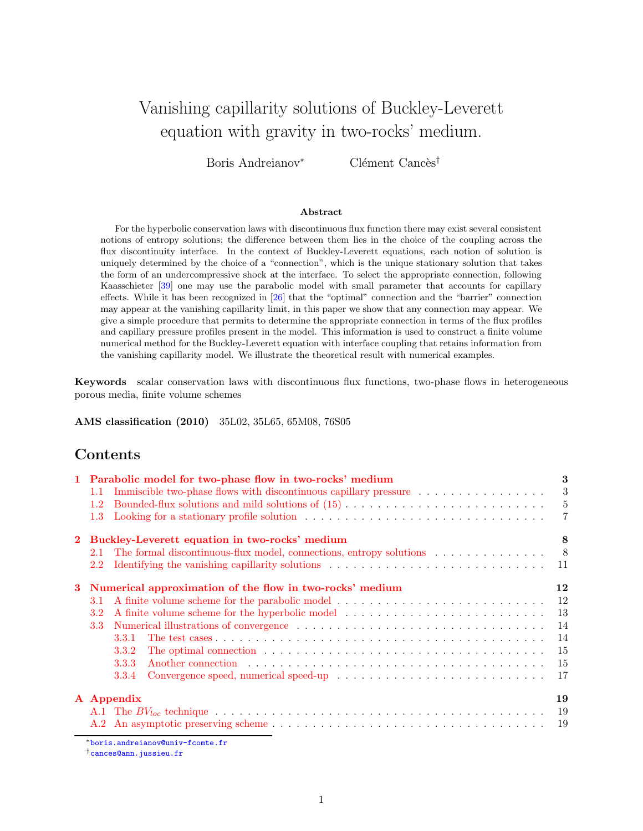# Vanishing capillarity solutions of Buckley-Leverett equation with gravity in two-rocks' medium.

Boris Andreianov<sup>∗</sup> Clément Cancès<sup>†</sup>

#### Abstract

For the hyperbolic conservation laws with discontinuous flux function there may exist several consistent notions of entropy solutions; the difference between them lies in the choice of the coupling across the flux discontinuity interface. In the context of Buckley-Leverett equations, each notion of solution is uniquely determined by the choice of a "connection", which is the unique stationary solution that takes the form of an undercompressive shock at the interface. To select the appropriate connection, following Kaasschieter [\[39\]](#page-23-0) one may use the parabolic model with small parameter that accounts for capillary effects. While it has been recognized in [\[26\]](#page-22-0) that the "optimal" connection and the "barrier" connection may appear at the vanishing capillarity limit, in this paper we show that any connection may appear. We give a simple procedure that permits to determine the appropriate connection in terms of the flux profiles and capillary pressure profiles present in the model. This information is used to construct a finite volume numerical method for the Buckley-Leverett equation with interface coupling that retains information from the vanishing capillarity model. We illustrate the theoretical result with numerical examples.

Keywords scalar conservation laws with discontinuous flux functions, two-phase flows in heterogeneous porous media, finite volume schemes

AMS classification (2010) 35L02, 35L65, 65M08, 76S05

## Contents

|   |                                                          | 1 Parabolic model for two-phase flow in two-rocks' medium                                                                                                                                                                               | 3              |  |  |
|---|----------------------------------------------------------|-----------------------------------------------------------------------------------------------------------------------------------------------------------------------------------------------------------------------------------------|----------------|--|--|
|   | 1.1                                                      | Immiscible two-phase flows with discontinuous capillary pressure                                                                                                                                                                        | 3              |  |  |
|   | 1.2                                                      | Bounded-flux solutions and mild solutions of $(15)$                                                                                                                                                                                     | $\overline{5}$ |  |  |
|   | 1.3                                                      | Looking for a stationary profile solution $\dots \dots \dots \dots \dots \dots \dots \dots \dots \dots \dots \dots$                                                                                                                     | 7              |  |  |
|   |                                                          | Buckley-Leverett equation in two-rocks' medium                                                                                                                                                                                          | 8              |  |  |
|   | 2.1                                                      | The formal discontinuous-flux model, connections, entropy solutions                                                                                                                                                                     | - 8            |  |  |
|   | 2.2                                                      |                                                                                                                                                                                                                                         | 11             |  |  |
| 3 | Numerical approximation of the flow in two-rocks' medium |                                                                                                                                                                                                                                         |                |  |  |
|   | 3.1                                                      | A finite volume scheme for the parabolic model                                                                                                                                                                                          | 12             |  |  |
|   | 3.2                                                      |                                                                                                                                                                                                                                         | 13             |  |  |
|   | 3.3                                                      |                                                                                                                                                                                                                                         | 14             |  |  |
|   |                                                          | 3.3.1                                                                                                                                                                                                                                   | 14             |  |  |
|   |                                                          | The optimal connection education is a series of the series of the series of the series of the series of the series of the series of the series of the series of the series of the series of the series of the series of the se<br>3.3.2 | 15             |  |  |
|   |                                                          | 3.3.3<br>Another connection enterstated with the set of the set of the set of the set of the set of the set of the set of the set of the set of the set of the set of the set of the set of the set of the set of the set of the set of | 15             |  |  |
|   |                                                          | 3.3.4                                                                                                                                                                                                                                   | -17            |  |  |
|   |                                                          | A Appendix                                                                                                                                                                                                                              | 19             |  |  |
|   |                                                          |                                                                                                                                                                                                                                         | 19             |  |  |
|   |                                                          |                                                                                                                                                                                                                                         | -19            |  |  |

<sup>∗</sup>[boris.andreianov@univ-fcomte.fr](mailto:Boris Andreianov <boris.andreianov@univ-fcomte.fr>)

†[cances@ann.jussieu.fr](mailto:Cl\unhbox \voidb@x \bgroup \let \unhbox \voidb@x \setbox \@tempboxa \hbox {e\global \mathchardef \accent@spacefactor \spacefactor }\accent 19 e\egroup \spacefactor \accent@spacefactor ment Canc\unhbox \voidb@x \bgroup \let \unhbox \voidb@x \setbox \@tempboxa \hbox {e\global \mathchardef \accent@spacefactor \spacefactor }\accent 18 e\egroup \spacefactor \accent@spacefactor s <cances@ann.jussieu.fr>)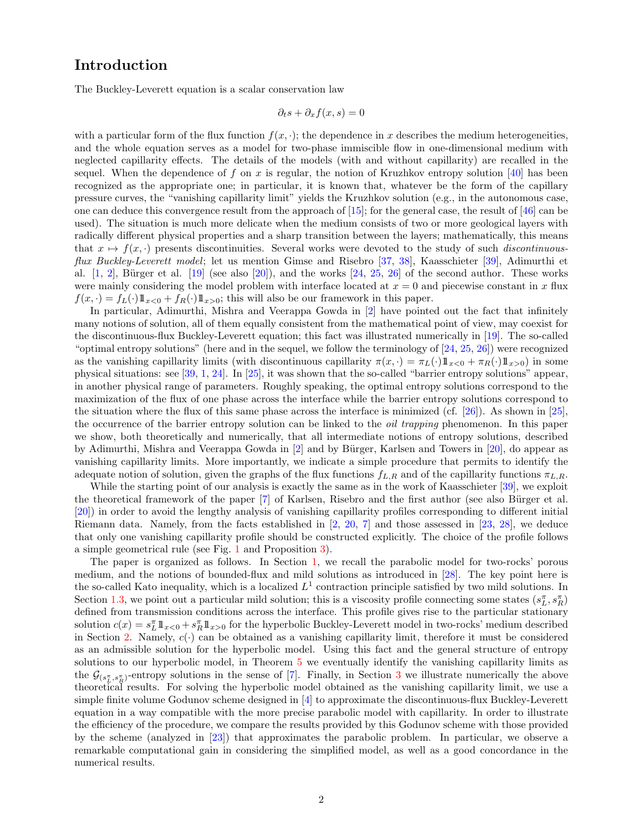# Introduction

The Buckley-Leverett equation is a scalar conservation law

$$
\partial_t s + \partial_x f(x, s) = 0
$$

with a particular form of the flux function  $f(x, \cdot)$ ; the dependence in x describes the medium heterogeneities, and the whole equation serves as a model for two-phase immiscible flow in one-dimensional medium with neglected capillarity effects. The details of the models (with and without capillarity) are recalled in the sequel. When the dependence of f on x is regular, the notion of Kruzhkov entropy solution  $[40]$  has been recognized as the appropriate one; in particular, it is known that, whatever be the form of the capillary pressure curves, the "vanishing capillarity limit" yields the Kruzhkov solution (e.g., in the autonomous case, one can deduce this convergence result from the approach of [\[15\]](#page-21-0); for the general case, the result of [\[46\]](#page-23-2) can be used). The situation is much more delicate when the medium consists of two or more geological layers with radically different physical properties and a sharp transition between the layers; mathematically, this means that  $x \mapsto f(x, \cdot)$  presents discontinuities. Several works were devoted to the study of such *discontinuous*flux Buckley-Leverett model; let us mention Gimse and Risebro [\[37,](#page-22-1) [38\]](#page-22-2), Kaasschieter [\[39\]](#page-23-0), Adimurthi et al.  $[1, 2]$  $[1, 2]$ , Bürger et al.  $[19]$  (see also  $[20]$ ), and the works  $[24, 25, 26]$  $[24, 25, 26]$  $[24, 25, 26]$  $[24, 25, 26]$  of the second author. These works were mainly considering the model problem with interface located at  $x = 0$  and piecewise constant in x flux  $f(x, \cdot) = f_L(\cdot) \mathbb{1}_{x < 0} + f_R(\cdot) \mathbb{1}_{x > 0}$ ; this will also be our framework in this paper.

In particular, Adimurthi, Mishra and Veerappa Gowda in [\[2\]](#page-21-2) have pointed out the fact that infinitely many notions of solution, all of them equally consistent from the mathematical point of view, may coexist for the discontinuous-flux Buckley-Leverett equation; this fact was illustrated numerically in [\[19\]](#page-22-3). The so-called "optimal entropy solutions" (here and in the sequel, we follow the terminology of [\[24,](#page-22-5) [25,](#page-22-6) [26\]](#page-22-0)) were recognized as the vanishing capillarity limits (with discontinuous capillarity  $\pi(x, \cdot) = \pi_L(\cdot) 1\!\!1_{x>0} + \pi_R(\cdot) 1\!\!1_{x>0})$  in some physical situations: see [\[39,](#page-23-0) [1,](#page-21-1) [24\]](#page-22-5). In [\[25\]](#page-22-6), it was shown that the so-called "barrier entropy solutions" appear, in another physical range of parameters. Roughly speaking, the optimal entropy solutions correspond to the maximization of the flux of one phase across the interface while the barrier entropy solutions correspond to the situation where the flux of this same phase across the interface is minimized (cf. [\[26\]](#page-22-0)). As shown in [\[25\]](#page-22-6), the occurrence of the barrier entropy solution can be linked to the *oil trapping* phenomenon. In this paper we show, both theoretically and numerically, that all intermediate notions of entropy solutions, described by Adimurthi, Mishra and Veerappa Gowda in [\[2\]](#page-21-2) and by Bürger, Karlsen and Towers in [\[20\]](#page-22-4), do appear as vanishing capillarity limits. More importantly, we indicate a simple procedure that permits to identify the adequate notion of solution, given the graphs of the flux functions  $f_{L,R}$  and of the capillarity functions  $\pi_{L,R}$ .

While the starting point of our analysis is exactly the same as in the work of Kaasschieter [\[39\]](#page-23-0), we exploit the theoretical framework of the paper [\[7\]](#page-21-3) of Karlsen, Risebro and the first author (see also Bürger et al. [\[20\]](#page-22-4)) in order to avoid the lengthy analysis of vanishing capillarity profiles corresponding to different initial Riemann data. Namely, from the facts established in [\[2,](#page-21-2) [20,](#page-22-4) [7\]](#page-21-3) and those assessed in [\[23,](#page-22-7) [28\]](#page-22-8), we deduce that only one vanishing capillarity profile should be constructed explicitly. The choice of the profile follows a simple geometrical rule (see Fig. 1 and Proposition [3\)](#page-6-1).

The paper is organized as follows. In Section [1,](#page-2-0) we recall the parabolic model for two-rocks' porous medium, and the notions of bounded-flux and mild solutions as introduced in [\[28\]](#page-22-8). The key point here is the so-called Kato inequality, which is a localized  $L^1$  contraction principle satisfied by two mild solutions. In Section [1.3,](#page-6-0) we point out a particular mild solution; this is a viscosity profile connecting some states  $(s_L^{\pi}, s_R^{\pi})$ defined from transmission conditions across the interface. This profile gives rise to the particular stationary solution  $c(x) = s_L^{\pi} \mathbb{1}_{x<0} + s_R^{\pi} \mathbb{1}_{x>0}$  for the hyperbolic Buckley-Leverett model in two-rocks' medium described in Section [2.](#page-7-0) Namely,  $c(\cdot)$  can be obtained as a vanishing capillarity limit, therefore it must be considered as an admissible solution for the hyperbolic model. Using this fact and the general structure of entropy solutions to our hyperbolic model, in Theorem [5](#page-10-1) we eventually identify the vanishing capillarity limits as the  $\mathcal{G}_{s_L^{\pi}, s_R^{\pi}}$ -entropy solutions in the sense of [\[7\]](#page-21-3). Finally, in Section [3](#page-11-0) we illustrate numerically the above theoretical results. For solving the hyperbolic model obtained as the vanishing capillarity limit, we use a simple finite volume Godunov scheme designed in [\[4\]](#page-21-4) to approximate the discontinuous-flux Buckley-Leverett equation in a way compatible with the more precise parabolic model with capillarity. In order to illustrate the efficiency of the procedure, we compare the results provided by this Godunov scheme with those provided by the scheme (analyzed in [\[23\]](#page-22-7)) that approximates the parabolic problem. In particular, we observe a remarkable computational gain in considering the simplified model, as well as a good concordance in the numerical results.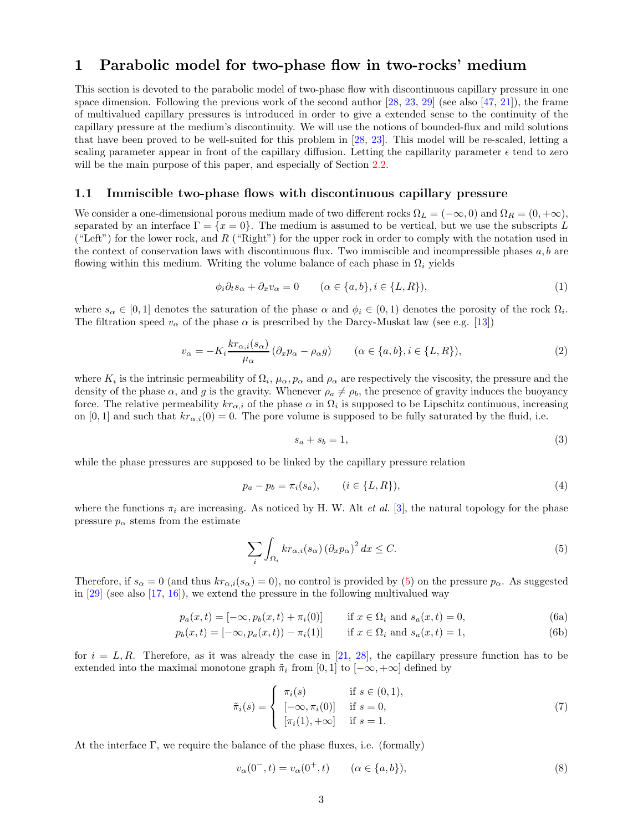## <span id="page-2-0"></span>1 Parabolic model for two-phase flow in two-rocks' medium

This section is devoted to the parabolic model of two-phase flow with discontinuous capillary pressure in one space dimension. Following the previous work of the second author [\[28,](#page-22-8) [23,](#page-22-7) [29\]](#page-22-9) (see also [\[47,](#page-23-3) [21\]](#page-22-10)), the frame of multivalued capillary pressures is introduced in order to give a extended sense to the continuity of the capillary pressure at the medium's discontinuity. We will use the notions of bounded-flux and mild solutions that have been proved to be well-suited for this problem in [\[28,](#page-22-8) [23\]](#page-22-7). This model will be re-scaled, letting a scaling parameter appear in front of the capillary diffusion. Letting the capillarity parameter  $\epsilon$  tend to zero will be the main purpose of this paper, and especially of Section [2.2.](#page-10-0)

#### <span id="page-2-1"></span>1.1 Immiscible two-phase flows with discontinuous capillary pressure

We consider a one-dimensional porous medium made of two different rocks  $\Omega_L = (-\infty, 0)$  and  $\Omega_R = (0, +\infty)$ , separated by an interface  $\Gamma = \{x = 0\}$ . The medium is assumed to be vertical, but we use the subscripts L ("Left") for the lower rock, and R ("Right") for the upper rock in order to comply with the notation used in the context of conservation laws with discontinuous flux. Two immiscible and incompressible phases  $a, b$  are flowing within this medium. Writing the volume balance of each phase in  $\Omega_i$  yields

<span id="page-2-3"></span>
$$
\phi_i \partial_t s_\alpha + \partial_x v_\alpha = 0 \qquad (\alpha \in \{a, b\}, i \in \{L, R\}), \tag{1}
$$

where  $s_{\alpha} \in [0,1]$  denotes the saturation of the phase  $\alpha$  and  $\phi_i \in (0,1)$  denotes the porosity of the rock  $\Omega_i$ . The filtration speed  $v_{\alpha}$  of the phase  $\alpha$  is prescribed by the Darcy-Muskat law (see e.g. [\[13\]](#page-21-5))

$$
v_{\alpha} = -K_i \frac{kr_{\alpha,i}(s_{\alpha})}{\mu_{\alpha}} (\partial_x p_{\alpha} - \rho_{\alpha} g) \qquad (\alpha \in \{a, b\}, i \in \{L, R\}),
$$
 (2)

where  $K_i$  is the intrinsic permeability of  $\Omega_i$ ,  $\mu_\alpha$ ,  $p_\alpha$  and  $\rho_\alpha$  are respectively the viscosity, the pressure and the density of the phase  $\alpha$ , and g is the gravity. Whenever  $\rho_a \neq \rho_b$ , the presence of gravity induces the buoyancy force. The relative permeability  $kr_{\alpha,i}$  of the phase  $\alpha$  in  $\Omega_i$  is supposed to be Lipschitz continuous, increasing on [0, 1] and such that  $kr_{\alpha,i}(0) = 0$ . The pore volume is supposed to be fully saturated by the fluid, i.e.

$$
s_a + s_b = 1,\t\t(3)
$$

while the phase pressures are supposed to be linked by the capillary pressure relation

$$
p_a - p_b = \pi_i(s_a), \qquad (i \in \{L, R\}), \tag{4}
$$

where the functions  $\pi_i$  are increasing. As noticed by H. W. Alt *et al.* [\[3\]](#page-21-6), the natural topology for the phase pressure  $p_{\alpha}$  stems from the estimate

<span id="page-2-2"></span>
$$
\sum_{i} \int_{\Omega_i} k r_{\alpha,i}(s_\alpha) \left(\partial_x p_\alpha\right)^2 dx \le C. \tag{5}
$$

Therefore, if  $s_{\alpha} = 0$  (and thus  $kr_{\alpha,i}(s_{\alpha}) = 0$ ), no control is provided by [\(5\)](#page-2-2) on the pressure  $p_{\alpha}$ . As suggested in [\[29\]](#page-22-9) (see also [\[17,](#page-21-7) [16\]](#page-21-8)), we extend the pressure in the following multivalued way

$$
p_a(x,t) = [-\infty, p_b(x,t) + \pi_i(0)] \quad \text{if } x \in \Omega_i \text{ and } s_a(x,t) = 0,
$$
 (6a)

$$
p_b(x,t) = [-\infty, p_a(x,t)) - \pi_i(1)] \quad \text{if } x \in \Omega_i \text{ and } s_a(x,t) = 1,
$$
 (6b)

for  $i = L, R$ . Therefore, as it was already the case in [\[21,](#page-22-10) [28\]](#page-22-8), the capillary pressure function has to be extended into the maximal monotone graph  $\tilde{\pi}_i$  from [0, 1] to  $[-\infty, +\infty]$  defined by

$$
\tilde{\pi}_i(s) = \begin{cases}\n\pi_i(s) & \text{if } s \in (0,1), \\
[-\infty, \pi_i(0)] & \text{if } s = 0, \\
[\pi_i(1), +\infty] & \text{if } s = 1.\n\end{cases}
$$
\n(7)

At the interface  $\Gamma$ , we require the balance of the phase fluxes, i.e. (formally)

<span id="page-2-4"></span>
$$
v_{\alpha}(0^-,t) = v_{\alpha}(0^+,t) \qquad (\alpha \in \{a,b\}), \tag{8}
$$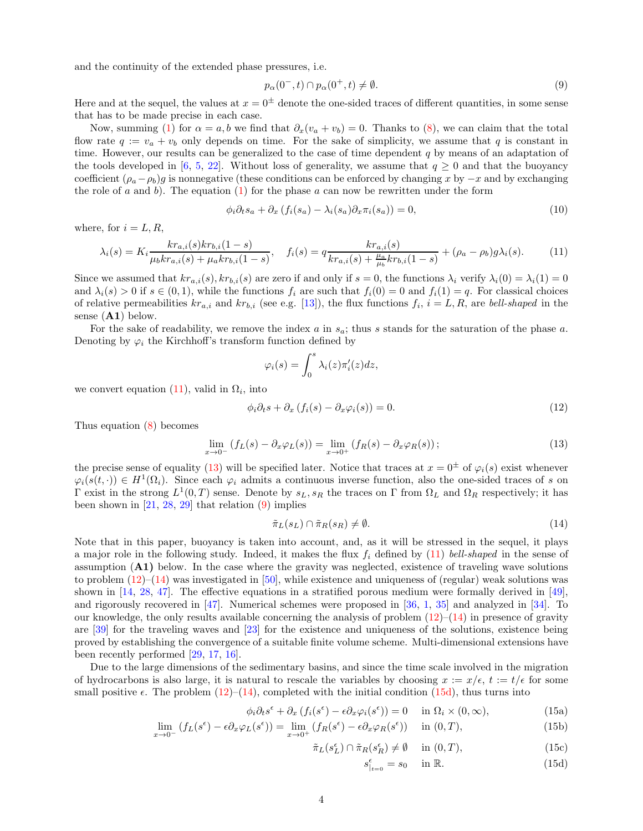and the continuity of the extended phase pressures, i.e.

<span id="page-3-3"></span>
$$
p_{\alpha}(0^-,t) \cap p_{\alpha}(0^+,t) \neq \emptyset. \tag{9}
$$

Here and at the sequel, the values at  $x = 0^{\pm}$  denote the one-sided traces of different quantities, in some sense that has to be made precise in each case.

Now, summing [\(1\)](#page-2-3) for  $\alpha = a, b$  we find that  $\partial_x(v_a + v_b) = 0$ . Thanks to [\(8\)](#page-2-4), we can claim that the total flow rate  $q := v_a + v_b$  only depends on time. For the sake of simplicity, we assume that q is constant in time. However, our results can be generalized to the case of time dependent  $q$  by means of an adaptation of the tools developed in [\[6,](#page-21-9) [5,](#page-21-10) [22\]](#page-22-11). Without loss of generality, we assume that  $q \ge 0$  and that the buoyancy coefficient  $(\rho_a - \rho_b)g$  is nonnegative (these conditions can be enforced by changing x by  $-x$  and by exchanging the role of a and b). The equation [\(1\)](#page-2-3) for the phase a can now be rewritten under the form

$$
\phi_i \partial_t s_a + \partial_x (f_i(s_a) - \lambda_i(s_a) \partial_x \pi_i(s_a)) = 0,
$$
\n(10)

where, for  $i = L, R$ ,

<span id="page-3-1"></span>
$$
\lambda_i(s) = K_i \frac{k r_{a,i}(s) k r_{b,i}(1-s)}{\mu_b k r_{a,i}(s) + \mu_a k r_{b,i}(1-s)}, \quad f_i(s) = q \frac{k r_{a,i}(s)}{k r_{a,i}(s) + \frac{\mu_a}{\mu_b} k r_{b,i}(1-s)} + (\rho_a - \rho_b) g \lambda_i(s). \tag{11}
$$

Since we assumed that  $k r_{a,i}(s)$ ,  $k r_{b,i}(s)$  are zero if and only if  $s = 0$ , the functions  $\lambda_i$  verify  $\lambda_i(0) = \lambda_i(1) = 0$ and  $\lambda_i(s) > 0$  if  $s \in (0,1)$ , while the functions  $f_i$  are such that  $f_i(0) = 0$  and  $f_i(1) = q$ . For classical choices of relative permeabilities  $kr_{a,i}$  and  $kr_{b,i}$  (see e.g. [\[13\]](#page-21-5)), the flux functions  $f_i$ ,  $i = L, R$ , are bell-shaped in the sense  $(A1)$  below.

For the sake of readability, we remove the index  $a$  in  $s_a$ ; thus  $s$  stands for the saturation of the phase  $a$ . Denoting by  $\varphi_i$  the Kirchhoff's transform function defined by

$$
\varphi_i(s) = \int_0^s \lambda_i(z) \pi'_i(z) dz,
$$

we convert equation [\(11\)](#page-3-1), valid in  $\Omega_i$ , into

<span id="page-3-4"></span>
$$
\phi_i \partial_t s + \partial_x (f_i(s) - \partial_x \varphi_i(s)) = 0.
$$
\n(12)

Thus equation [\(8\)](#page-2-4) becomes

<span id="page-3-2"></span>
$$
\lim_{x \to 0^{-}} \left( f_L(s) - \partial_x \varphi_L(s) \right) = \lim_{x \to 0^{+}} \left( f_R(s) - \partial_x \varphi_R(s) \right); \tag{13}
$$

the precise sense of equality [\(13\)](#page-3-2) will be specified later. Notice that traces at  $x = 0^{\pm}$  of  $\varphi_i(s)$  exist whenever  $\varphi_i(s(t, \cdot)) \in H^1(\Omega_i)$ . Since each  $\varphi_i$  admits a continuous inverse function, also the one-sided traces of s on Γ exist in the strong  $L^1(0,T)$  sense. Denote by  $s_L, s_R$  the traces on Γ from  $\Omega_L$  and  $\Omega_R$  respectively; it has been shown in  $[21, 28, 29]$  $[21, 28, 29]$  $[21, 28, 29]$  $[21, 28, 29]$  that relation  $(9)$  implies

<span id="page-3-5"></span>
$$
\tilde{\pi}_L(s_L) \cap \tilde{\pi}_R(s_R) \neq \emptyset. \tag{14}
$$

Note that in this paper, buoyancy is taken into account, and, as it will be stressed in the sequel, it plays a major role in the following study. Indeed, it makes the flux  $f_i$  defined by [\(11\)](#page-3-1) bell-shaped in the sense of assumption  $(A1)$  below. In the case where the gravity was neglected, existence of traveling wave solutions to problem  $(12)$ – $(14)$  was investigated in [\[50\]](#page-23-4), while existence and uniqueness of (regular) weak solutions was shown in [\[14,](#page-21-11) [28,](#page-22-8) [47\]](#page-23-3). The effective equations in a stratified porous medium were formally derived in [\[49\]](#page-23-5), and rigorously recovered in [\[47\]](#page-23-3). Numerical schemes were proposed in [\[36,](#page-22-12) [1,](#page-21-1) [35\]](#page-22-13) and analyzed in [\[34\]](#page-22-14). To our knowledge, the only results available concerning the analysis of problem  $(12)$ – $(14)$  in presence of gravity are [\[39\]](#page-23-0) for the traveling waves and [\[23\]](#page-22-7) for the existence and uniqueness of the solutions, existence being proved by establishing the convergence of a suitable finite volume scheme. Multi-dimensional extensions have been recently performed [\[29,](#page-22-9) [17,](#page-21-7) [16\]](#page-21-8).

Due to the large dimensions of the sedimentary basins, and since the time scale involved in the migration of hydrocarbons is also large, it is natural to rescale the variables by choosing  $x := x/\epsilon$ ,  $t := t/\epsilon$  for some small positive  $\epsilon$ . The problem [\(12\)](#page-3-4)–[\(14\)](#page-3-5), completed with the initial condition [\(15d\)](#page-3-6), thus turns into

$$
\phi_i \partial_t s^{\epsilon} + \partial_x (f_i(s^{\epsilon}) - \epsilon \partial_x \varphi_i(s^{\epsilon})) = 0 \quad \text{in } \Omega_i \times (0, \infty), \tag{15a}
$$

$$
\lim_{x \to 0^{-}} \left( f_L(s^{\epsilon}) - \epsilon \partial_x \varphi_L(s^{\epsilon}) \right) = \lim_{x \to 0^{+}} \left( f_R(s^{\epsilon}) - \epsilon \partial_x \varphi_R(s^{\epsilon}) \right) \quad \text{in } (0, T), \tag{15b}
$$

$$
\tilde{\pi}_L(s_L^{\epsilon}) \cap \tilde{\pi}_R(s_R^{\epsilon}) \neq \emptyset \quad \text{ in } (0, T), \tag{15c}
$$

<span id="page-3-8"></span><span id="page-3-7"></span><span id="page-3-6"></span><span id="page-3-0"></span>
$$
s_{|_{t=0}}^{\epsilon} = s_0 \quad \text{in } \mathbb{R}.\tag{15d}
$$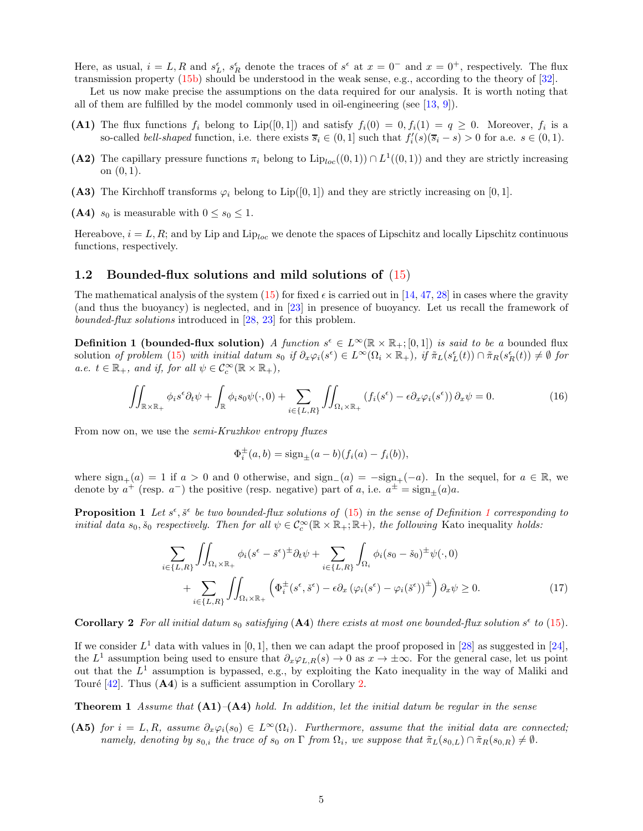Here, as usual,  $i = L, R$  and  $s_L^{\epsilon}$ ,  $s_R^{\epsilon}$  denote the traces of  $s^{\epsilon}$  at  $x = 0^-$  and  $x = 0^+$ , respectively. The flux transmission property [\(15b\)](#page-3-7) should be understood in the weak sense, e.g., according to the theory of [\[32\]](#page-22-15).

Let us now make precise the assumptions on the data required for our analysis. It is worth noting that all of them are fulfilled by the model commonly used in oil-engineering (see  $(13, 9)$ ).

- (A1) The flux functions  $f_i$  belong to Lip([0,1]) and satisfy  $f_i(0) = 0, f_i(1) = q \ge 0$ . Moreover,  $f_i$  is a so-called *bell-shaped* function, i.e. there exists  $\overline{s}_i \in (0,1]$  such that  $f_i'(s)(\overline{s}_i - s) > 0$  for a.e.  $s \in (0,1)$ .
- (A2) The capillary pressure functions  $\pi_i$  belong to  $\text{Lip}_{loc}((0,1)) \cap L^1((0,1))$  and they are strictly increasing on (0, 1).
- (A3) The Kirchhoff transforms  $\varphi_i$  belong to Lip([0,1]) and they are strictly increasing on [0,1].
- (A4)  $s_0$  is measurable with  $0 \leq s_0 \leq 1$ .

Hereabove,  $i = L, R$ ; and by Lip and Lip<sub>loc</sub> we denote the spaces of Lipschitz and locally Lipschitz continuous functions, respectively.

#### <span id="page-4-0"></span>1.2 Bounded-flux solutions and mild solutions of [\(15\)](#page-3-0)

The mathematical analysis of the system [\(15\)](#page-3-0) for fixed  $\epsilon$  is carried out in [\[14,](#page-21-11) [47,](#page-23-3) [28\]](#page-22-8) in cases where the gravity (and thus the buoyancy) is neglected, and in [\[23\]](#page-22-7) in presence of buoyancy. Let us recall the framework of bounded-flux solutions introduced in [\[28,](#page-22-8) [23\]](#page-22-7) for this problem.

<span id="page-4-1"></span>**Definition 1 (bounded-flux solution)** A function  $s^{\epsilon} \in L^{\infty}(\mathbb{R} \times \mathbb{R}_{+}; [0, 1])$  is said to be a bounded flux solution of problem [\(15\)](#page-3-0) with initial datum  $s_0$  if  $\partial_x \varphi_i(s^{\epsilon}) \in L^{\infty}(\Omega_i \times \mathbb{R}_+)$ , if  $\tilde{\pi}_L(s^{\epsilon}_L(t)) \cap \tilde{\pi}_R(s^{\epsilon}_R(t)) \neq \emptyset$  for  $a.e. \ t \in \mathbb{R}_+$ , and if, for all  $\psi \in C_c^{\infty}(\mathbb{R} \times \mathbb{R}_+),$ 

<span id="page-4-4"></span>
$$
\iint_{\mathbb{R}\times\mathbb{R}_+} \phi_i s^{\epsilon} \partial_t \psi + \int_{\mathbb{R}} \phi_i s_0 \psi(\cdot,0) + \sum_{i \in \{L,R\}} \iint_{\Omega_i \times \mathbb{R}_+} \left( f_i(s^{\epsilon}) - \epsilon \partial_x \varphi_i(s^{\epsilon}) \right) \partial_x \psi = 0.
$$
\n(16)

From now on, we use the *semi-Kruzhkov entropy fluxes* 

$$
\Phi_i^{\pm}(a, b) = sign_{\pm}(a - b)(f_i(a) - f_i(b)),
$$

where  $sign_{+}(a) = 1$  if  $a > 0$  and 0 otherwise, and  $sign_{-}(a) = -sign_{+}(-a)$ . In the sequel, for  $a \in \mathbb{R}$ , we denote by  $a^+$  (resp.  $a^-$ ) the positive (resp. negative) part of a, i.e.  $a^{\pm} = \text{sign}_{\pm}(a)a$ .

**Proposition [1](#page-4-1)** Let  $s^{\epsilon}$ ,  $\check{s}^{\epsilon}$  be two bounded-flux solutions of [\(15\)](#page-3-0) in the sense of Definition 1 corresponding to initial data  $s_0, \check{s}_0$  respectively. Then for all  $\psi \in C_c^{\infty}(\mathbb{R} \times \mathbb{R}_+; \mathbb{R})$ , the following Kato inequality holds:

<span id="page-4-3"></span>
$$
\sum_{i \in \{L,R\}} \iint_{\Omega_i \times \mathbb{R}_+} \phi_i (s^{\epsilon} - \check{s}^{\epsilon})^{\pm} \partial_t \psi + \sum_{i \in \{L,R\}} \int_{\Omega_i} \phi_i (s_0 - \check{s}_0)^{\pm} \psi(\cdot, 0) \n+ \sum_{i \in \{L,R\}} \iint_{\Omega_i \times \mathbb{R}_+} \left( \Phi_i^{\pm} (s^{\epsilon}, \check{s}^{\epsilon}) - \epsilon \partial_x \left( \varphi_i (s^{\epsilon}) - \varphi_i (\check{s}^{\epsilon}) \right)^{\pm} \right) \partial_x \psi \ge 0.
$$
\n(17)

<span id="page-4-2"></span>**Corollary 2** For all initial datum  $s_0$  satisfying (A4) there exists at most one bounded-flux solution  $s^{\epsilon}$  to [\(15\)](#page-3-0).

If we consider  $L^1$  data with values in [0, 1], then we can adapt the proof proposed in [\[28\]](#page-22-8) as suggested in [\[24\]](#page-22-5), the  $L^1$  assumption being used to ensure that  $\partial_x \varphi_{L,R}(s) \to 0$  as  $x \to \pm \infty$ . For the general case, let us point out that the  $L^1$  assumption is bypassed, e.g., by exploiting the Kato inequality in the way of Maliki and Touré  $[42]$ . Thus  $(A4)$  is a sufficient assumption in Corollary [2.](#page-4-2)

<span id="page-4-5"></span>**Theorem 1** Assume that  $(A1)$ – $(A4)$  hold. In addition, let the initial datum be regular in the sense

(A5) for  $i = L, R$ , assume  $\partial_x \varphi_i(s_0) \in L^{\infty}(\Omega_i)$ . Furthermore, assume that the initial data are connected; namely, denoting by  $s_{0,i}$  the trace of  $s_0$  on  $\Gamma$  from  $\Omega_i$ , we suppose that  $\tilde{\pi}_L(s_{0,L}) \cap \tilde{\pi}_R(s_{0,R}) \neq \emptyset$ .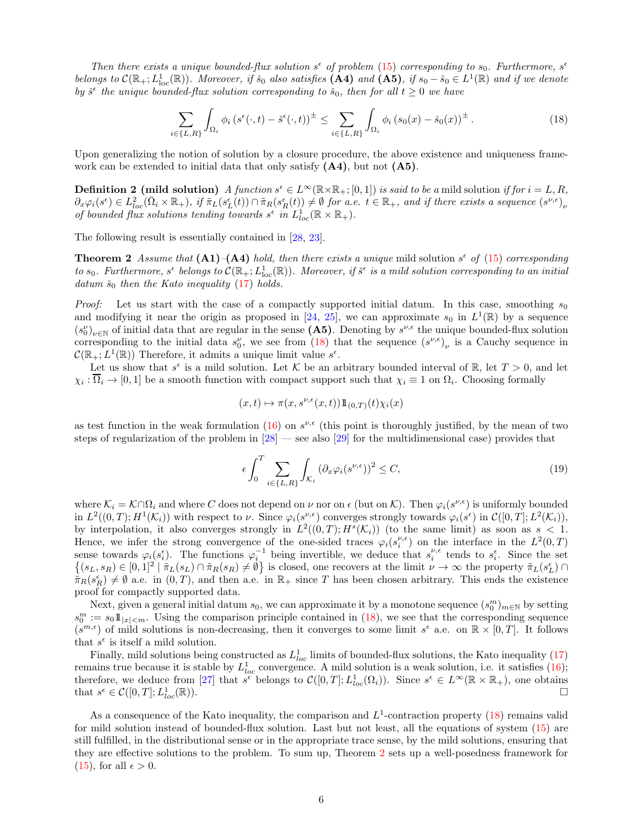Then there exists a unique bounded-flux solution  $s^{\epsilon}$  of problem [\(15\)](#page-3-0) corresponding to  $s_0$ . Furthermore,  $s^{\epsilon}$ belongs to  $\mathcal{C}(\mathbb{R}_+; L^1_{loc}(\mathbb{R}))$ . Moreover, if  $\check{s}_0$  also satisfies  $(\mathbf{A4})$  and  $(\mathbf{A5})$ , if  $s_0 - \check{s}_0 \in L^1(\mathbb{R})$  and if we denote by  $\check{s}^{\epsilon}$  the unique bounded-flux solution corresponding to  $\check{s}_0$ , then for all  $t \geq 0$  we have

<span id="page-5-0"></span>
$$
\sum_{i\in\{L,R\}} \int_{\Omega_i} \phi_i \left(s^{\epsilon}(\cdot,t) - \check{s}^{\epsilon}(\cdot,t)\right)^{\pm} \le \sum_{i\in\{L,R\}} \int_{\Omega_i} \phi_i \left(s_0(x) - \check{s}_0(x)\right)^{\pm}.
$$
 (18)

Upon generalizing the notion of solution by a closure procedure, the above existence and uniqueness framework can be extended to initial data that only satisfy  $(A4)$ , but not  $(A5)$ .

**Definition 2 (mild solution)** A function  $s^{\epsilon} \in L^{\infty}(\mathbb{R} \times \mathbb{R}_{+}; [0, 1])$  is said to be a mild solution if for  $i = L, R$ ,  $\partial_x\varphi_i(s^{\epsilon}) \in L^2_{loc}(\bar{\Omega}_i\times\mathbb{R}_+)$ , if  $\tilde{\pi}_L(s^{\epsilon}_L(t)) \cap \tilde{\pi}_R(s^{\epsilon}_R(t)) \neq \emptyset$  for a.e.  $t \in \mathbb{R}_+$ , and if there exists a sequence  $(s^{\nu,\epsilon})_{\nu}$ of bounded flux solutions tending towards  $s^{\epsilon}$  in  $L_{loc}^{1}(\mathbb{R} \times \mathbb{R}_{+}).$ 

The following result is essentially contained in [\[28,](#page-22-8) [23\]](#page-22-7).

**Theorem 2** Assume that  $(A1)$ - $(A4)$  hold, then there exists a unique mild solution  $s^{\epsilon}$  of  $(15)$  corresponding to  $s_0$ . Furthermore,  $s^{\epsilon}$  belongs to  $\mathcal{C}(\mathbb{R}_+; L_{\text{loc}}^1(\mathbb{R}))$ . Moreover, if  $\check{s}^{\epsilon}$  is a mild solution corresponding to an initial datum  $\check{s}_0$  then the Kato inequality [\(17\)](#page-4-3) holds.

*Proof:* Let us start with the case of a compactly supported initial datum. In this case, smoothing  $s_0$ and modifying it near the origin as proposed in [\[24,](#page-22-5) [25\]](#page-22-6), we can approximate  $s_0$  in  $L^1(\mathbb{R})$  by a sequence  $(s_0')_{\nu\in\mathbb{N}}$  of initial data that are regular in the sense (A5). Denoting by  $s^{\nu,\epsilon}$  the unique bounded-flux solution corresponding to the initial data  $s_0^{\nu}$ , we see from [\(18\)](#page-5-0) that the sequence  $(s^{\nu,\epsilon})_{\nu}$  is a Cauchy sequence in  $\mathcal{C}(\mathbb{R}_+; L^1(\mathbb{R}))$  Therefore, it admits a unique limit value  $s^{\epsilon}$ .

Let us show that  $s^{\epsilon}$  is a mild solution. Let K be an arbitrary bounded interval of R, let  $T > 0$ , and let  $\chi_i : \Omega_i \to [0,1]$  be a smooth function with compact support such that  $\chi_i \equiv 1$  on  $\Omega_i$ . Choosing formally

<span id="page-5-1"></span>
$$
(x,t) \mapsto \pi(x,s^{\nu,\epsilon}(x,t)) 1\!\!1_{(0,T)}(t) \chi_i(x)
$$

as test function in the weak formulation  $(16)$  on  $s^{\nu,\epsilon}$  (this point is thoroughly justified, by the mean of two steps of regularization of the problem in [\[28\]](#page-22-8) — see also [\[29\]](#page-22-9) for the multidimensional case) provides that

$$
\epsilon \int_0^T \sum_{i \in \{L, R\}} \int_{\mathcal{K}_i} \left( \partial_x \varphi_i(s^{\nu, \epsilon}) \right)^2 \le C,\tag{19}
$$

where  $\mathcal{K}_i = \mathcal{K} \cap \Omega_i$  and where C does not depend on  $\nu$  nor on  $\epsilon$  (but on  $\mathcal{K}$ ). Then  $\varphi_i(s^{\nu,\epsilon})$  is uniformly bounded in  $L^2((0,T); H^1(\mathcal{K}_i))$  with respect to  $\nu$ . Since  $\varphi_i(s^{\nu,\epsilon})$  converges strongly towards  $\varphi_i(s^{\epsilon})$  in  $\mathcal{C}([0,T]; L^2(\mathcal{K}_i))$ , by interpolation, it also converges strongly in  $L^2((0,T); H^s(\mathcal{K}_i))$  (to the same limit) as soon as  $s < 1$ . Hence, we infer the strong convergence of the one-sided traces  $\varphi_i(s_i^{\nu,\epsilon})$  on the interface in the  $L^2(0,T)$ sense towards  $\varphi_i(s_i^{\epsilon})$ . The functions  $\varphi_i^{-1}$  being invertible, we deduce that  $s_i^{\nu,\epsilon}$  tends to  $s_i^{\epsilon}$ . Since the set  $\{(s_L, s_R) \in [0,1]^2 \mid \pi_L(s_L) \cap \pi_R(s_R) \neq \emptyset\}$  is closed, one recovers at the limit  $\nu \to \infty$  the property  $\pi_L(s_L^{\epsilon}) \cap$  $\tilde{\pi}_R(s_R^{\epsilon}) \neq \emptyset$  a.e. in  $(0,T)$ , and then a.e. in  $\mathbb{R}_+$  since T has been chosen arbitrary. This ends the existence proof for compactly supported data.

Next, given a general initial datum  $s_0$ , we can approximate it by a monotone sequence  $(s_0^m)_{m\in\mathbb{N}}$  by setting  $s_0^m := s_0 1\!\!1_{|x| \leq m}$ . Using the comparison principle contained in [\(18\)](#page-5-0), we see that the corresponding sequence  $(s^{m,\epsilon})$  of mild solutions is non-decreasing, then it converges to some limit  $s^{\epsilon}$  a.e. on  $\mathbb{R}\times[0,T]$ . It follows that  $s^{\epsilon}$  is itself a mild solution.

Finally, mild solutions being constructed as  $L_{loc}^1$  limits of bounded-flux solutions, the Kato inequality [\(17\)](#page-4-3) remains true because it is stable by  $L^1_{loc}$  convergence. A mild solution is a weak solution, i.e. it satisfies [\(16\)](#page-4-4); therefore, we deduce from [\[27\]](#page-22-16) that  $s^{\epsilon}$  belongs to  $\mathcal{C}([0,T]; L^1_{loc}(\Omega_i))$ . Since  $s^{\epsilon} \in L^{\infty}(\mathbb{R} \times \mathbb{R}_+)$ , one obtains that  $s^{\epsilon} \in \mathcal{C}([0,T]; L^1_{l_0})$  $\frac{1}{loc}(\mathbb{R}))$ .

As a consequence of the Kato inequality, the comparison and  $L^1$ -contraction property [\(18\)](#page-5-0) remains valid for mild solution instead of bounded-flux solution. Last but not least, all the equations of system [\(15\)](#page-3-0) are still fulfilled, in the distributional sense or in the appropriate trace sense, by the mild solutions, ensuring that they are effective solutions to the problem. To sum up, Theorem [2](#page-5-1) sets up a well-posedness framework for [\(15\)](#page-3-0), for all  $\epsilon > 0$ .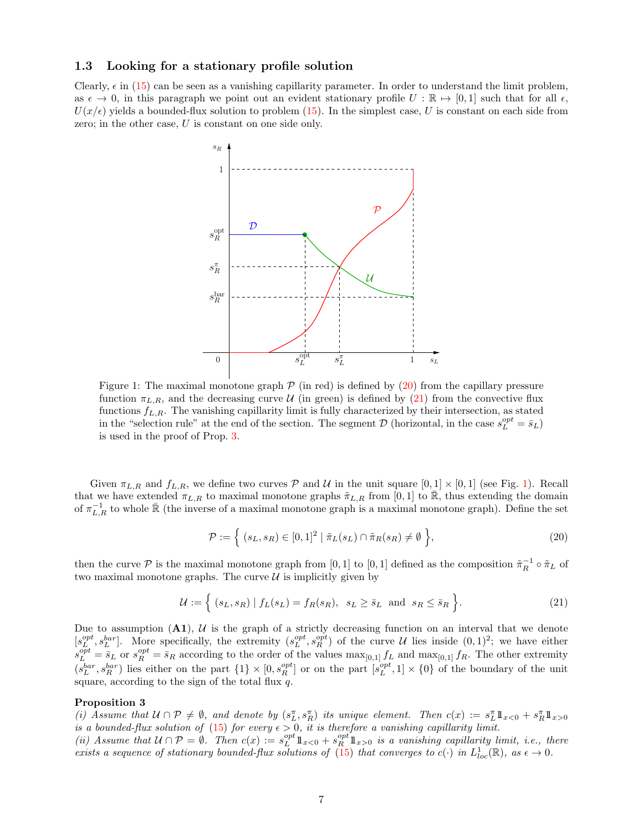#### <span id="page-6-0"></span>1.3 Looking for a stationary profile solution

Clearly,  $\epsilon$  in [\(15\)](#page-3-0) can be seen as a vanishing capillarity parameter. In order to understand the limit problem, as  $\epsilon \to 0$ , in this paragraph we point out an evident stationary profile  $U : \mathbb{R} \mapsto [0, 1]$  such that for all  $\epsilon$ ,  $U(x/\epsilon)$  yields a bounded-flux solution to problem [\(15\)](#page-3-0). In the simplest case, U is constant on each side from zero; in the other case, U is constant on one side only.



Figure 1: The maximal monotone graph  $P$  (in red) is defined by [\(20\)](#page-6-2) from the capillary pressure function  $\pi_{L,R}$ , and the decreasing curve U (in green) is defined by [\(21\)](#page-6-3) from the convective flux functions  $f_{L,R}$ . The vanishing capillarity limit is fully characterized by their intersection, as stated in the "selection rule" at the end of the section. The segment  $D$  (horizontal, in the case  $s_L^{opt} = \bar{s}_L$ ) is used in the proof of Prop. [3.](#page-6-1)

Given  $\pi_{L,R}$  and  $f_{L,R}$ , we define two curves  $P$  and  $U$  in the unit square  $[0,1] \times [0,1]$  (see Fig. 1). Recall that we have extended  $\pi_{L,R}$  to maximal monotone graphs  $\tilde{\pi}_{L,R}$  from [0, 1] to  $\bar{\mathbb{R}}$ , thus extending the domain of  $\pi_{L,R}^{-1}$  to whole  $\bar{\mathbb{R}}$  (the inverse of a maximal monotone graph is a maximal monotone graph). Define the set

<span id="page-6-2"></span>
$$
\mathcal{P} := \left\{ (s_L, s_R) \in [0, 1]^2 \mid \tilde{\pi}_L(s_L) \cap \tilde{\pi}_R(s_R) \neq \emptyset \right\},\tag{20}
$$

then the curve  $P$  is the maximal monotone graph from [0, 1] to [0, 1] defined as the composition  $\tilde{\pi}_R^{-1} \circ \tilde{\pi}_L$  of two maximal monotone graphs. The curve  $\mathcal U$  is implicitly given by

<span id="page-6-3"></span><span id="page-6-1"></span>
$$
\mathcal{U} := \left\{ (s_L, s_R) \mid f_L(s_L) = f_R(s_R), \ s_L \ge \bar{s}_L \text{ and } s_R \le \bar{s}_R \right\}.
$$
 (21)

Due to assumption  $(A1)$ ,  $U$  is the graph of a strictly decreasing function on an interval that we denote  $[s_L^{opt}, s_L^{bar}]$ . More specifically, the extremity  $(s_L^{opt}, s_R^{opt})$  of the curve U lies inside  $(0, 1)^2$ ; we have either  $s_{L}^{opt} = \bar{s}_{L}$  or  $s_{R}^{opt} = \bar{s}_{R}$  according to the order of the values  $\max_{[0,1]} f_{L}$  and  $\max_{[0,1]} f_{R}$ . The other extremity  $(s_L^{bar}, s_R^{bar})$  lies either on the part  $\{1\} \times [0, s_R^{opt}]$  or on the part  $[s_L^{opt}, 1] \times \{0\}$  of the boundary of the unit square, according to the sign of the total flux  $q$ .

#### Proposition 3

(i) Assume that  $U \cap \mathcal{P} \neq \emptyset$ , and denote by  $(s_L^{\pi}, s_R^{\pi})$  its unique element. Then  $c(x) := s_L^{\pi} \mathbb{1}_{x < 0} + s_R^{\pi} \mathbb{1}_{x > 0}$ is a bounded-flux solution of [\(15\)](#page-3-0) for every  $\epsilon > 0$ , it is therefore a vanishing capillarity limit.

(ii) Assume that  $U \cap \mathcal{P} = \emptyset$ . Then  $c(x) := s_L^{opt} \mathbb{1}_{x<0} + s_R^{opt} \mathbb{1}_{x>0}$  is a vanishing capillarity limit, i.e., there exists a sequence of stationary bounded-flux solutions of [\(15\)](#page-3-0) that converges to  $c(\cdot)$  in  $L_{loc}^1(\mathbb{R})$ , as  $\epsilon \to 0$ .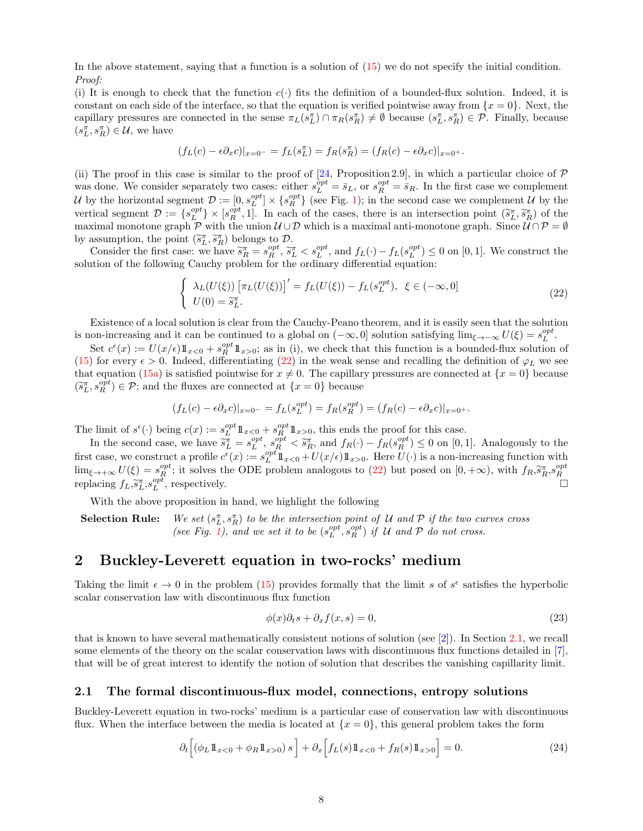In the above statement, saying that a function is a solution of  $(15)$  we do not specify the initial condition. Proof:

(i) It is enough to check that the function  $c(\cdot)$  fits the definition of a bounded-flux solution. Indeed, it is constant on each side of the interface, so that the equation is verified pointwise away from  $\{x = 0\}$ . Next, the capillary pressures are connected in the sense  $\pi_L(s_L^{\pi}) \cap \pi_R(s_R^{\pi}) \neq \emptyset$  because  $(s_L^{\pi}, s_R^{\pi}) \in \mathcal{P}$ . Finally, because  $(s_L^{\pi},s_R^{\pi}) \in \mathcal{U},$  we have

$$
(f_L(c) - \epsilon \partial_x c)|_{x=0^-} = f_L(s_L^{\pi}) = f_R(s_R^{\pi}) = (f_R(c) - \epsilon \partial_x c)|_{x=0^+}.
$$

(ii) The proof in this case is similar to the proof of [\[24,](#page-22-5) Proposition 2.9], in which a particular choice of  $\mathcal P$ was done. We consider separately two cases: either  $s_L^{opt} = \bar{s}_L$ , or  $s_R^{opt} = \bar{s}_R$ . In the first case we complement U by the horizontal segment  $\mathcal{D} := [0, s_L^{opt}] \times \{s_R^{opt}\}\$  (see Fig. 1); in the second case we complement U by the vertical segment  $\mathcal{D} := \{s^{opt}_{R}\} \times [s^{opt}_{R}, 1]$ . In each of the cases, there is an intersection point  $(\tilde{s}^{\pi}_{L}, \tilde{s}^{\pi}_{R})$  of the maximal monotone graph  $\mathcal{P}$  with the union  $\mathcal{U} \cup \mathcal{D}$  which is a maximal anti-monotone graph. Since  $\mathcal{U} \cap \mathcal{P} = \emptyset$ by assumption, the point  $(\tilde{s}_L^{\pi}, \tilde{s}_R^{\pi})$  belongs to  $\mathcal{D}$ .<br>Consider the first assessment point  $\tilde{z}^{\pi}$ 

Consider the first case: we have  $\tilde{s}_R^{\pi} = s_R^{opt}$ ,  $\tilde{s}_L^{\pi} < s_L^{opt}$ , and  $f_L(\cdot) - f_L(s_L^{opt}) \leq 0$  on [0, 1]. We construct the solution of the following Cauchy problem for the ordinary differential equation:

<span id="page-7-2"></span>
$$
\begin{cases}\n\lambda_L(U(\xi)) \left[ \pi_L(U(\xi)) \right]' = f_L(U(\xi)) - f_L(s_L^{opt}), \xi \in (-\infty, 0] \\
U(0) = \tilde{s}_L^{\pi}.\n\end{cases}
$$
\n(22)

Existence of a local solution is clear from the Cauchy-Peano theorem, and it is easily seen that the solution is non-increasing and it can be continued to a global on  $(-\infty, 0]$  solution satisfying lim<sub> $\xi \to -\infty$ </sub>  $U(\xi) = s_L^{opt}$ .

Set  $c^{\epsilon}(x) := U(x/\epsilon) 1\!\!1_{x<0} + s_T^{opt} 1\!\!1_{x>0}$ ; as in (i), we check that this function is a bounded-flux solution of [\(15\)](#page-3-0) for every  $\epsilon > 0$ . Indeed, differentiating [\(22\)](#page-7-2) in the weak sense and recalling the definition of  $\varphi_L$  we see that equation [\(15a\)](#page-3-8) is satisfied pointwise for  $x \neq 0$ . The capillary pressures are connected at  $\{x = 0\}$  because  $(\widetilde{s}_L^{\pi}, s_R^{opt}) \in \mathcal{P}$ ; and the fluxes are connected at  $\{x = 0\}$  because

$$
(f_L(c) - \epsilon \partial_x c)|_{x=0^-} = f_L(s_L^{opt}) = f_R(s_R^{opt}) = (f_R(c) - \epsilon \partial_x c)|_{x=0^+}.
$$

The limit of  $s^{\epsilon}(\cdot)$  being  $c(x) := s_L^{opt} 1\!\!1_{x<0} + s_R^{opt} 1\!\!1_{x>0}$ , this ends the proof for this case.

In the second case, we have  $\widetilde{s}_L^{\pi} = s_L^{opt}, s_R^{opt} < \widetilde{s}_R^{\pi}$ , and  $f_R(\cdot) - f_R(s_R^{opt}) \leq 0$  on [0, 1]. Analogously to the first case, we construct a profile  $c^{\epsilon}(x) := s_L^{opt} 1\!\!1_{x<0} + U(x/\epsilon) 1\!\!1_{x>0}$ . Here  $U(\cdot)$  is a non-increasing function with  $\lim_{\xi \to +\infty} U(\xi) = s_R^{opt}$ ; it solves the ODE problem analogous to [\(22\)](#page-7-2) but posed on  $[0, +\infty)$ , with  $f_R$ , $\widetilde{s}_R^{\pi}$ , $s_R^{opt}$ <br>replacing  $f_L$ , $\widetilde{s}_L^{\pi}$ , $s_L^{opt}$ , respectively.

With the above proposition in hand, we highlight the following

**Selection Rule:** We set  $(s_L^{\pi}, s_R^{\pi})$  to be the intersection point of U and P if the two curves cross (see Fig. 1), and we set it to be  $(s_L^{opt}, s_R^{opt})$  if U and P do not cross.

# <span id="page-7-0"></span>2 Buckley-Leverett equation in two-rocks' medium

Taking the limit  $\epsilon \to 0$  in the problem [\(15\)](#page-3-0) provides formally that the limit s of  $s^{\epsilon}$  satisfies the hyperbolic scalar conservation law with discontinuous flux function

$$
\phi(x)\partial_t s + \partial_x f(x,s) = 0,\tag{23}
$$

that is known to have several mathematically consistent notions of solution (see [\[2\]](#page-21-2)). In Section [2.1,](#page-7-1) we recall some elements of the theory on the scalar conservation laws with discontinuous flux functions detailed in [\[7\]](#page-21-3), that will be of great interest to identify the notion of solution that describes the vanishing capillarity limit.

#### <span id="page-7-1"></span>2.1 The formal discontinuous-flux model, connections, entropy solutions

Buckley-Leverett equation in two-rocks' medium is a particular case of conservation law with discontinuous flux. When the interface between the media is located at  $\{x = 0\}$ , this general problem takes the form

<span id="page-7-3"></span>
$$
\partial_t \left[ \left( \phi_L \mathbb{1}_{x<0} + \phi_R \mathbb{1}_{x>0} \right) s \right] + \partial_x \left[ f_L(s) \mathbb{1}_{x<0} + f_R(s) \mathbb{1}_{x>0} \right] = 0. \tag{24}
$$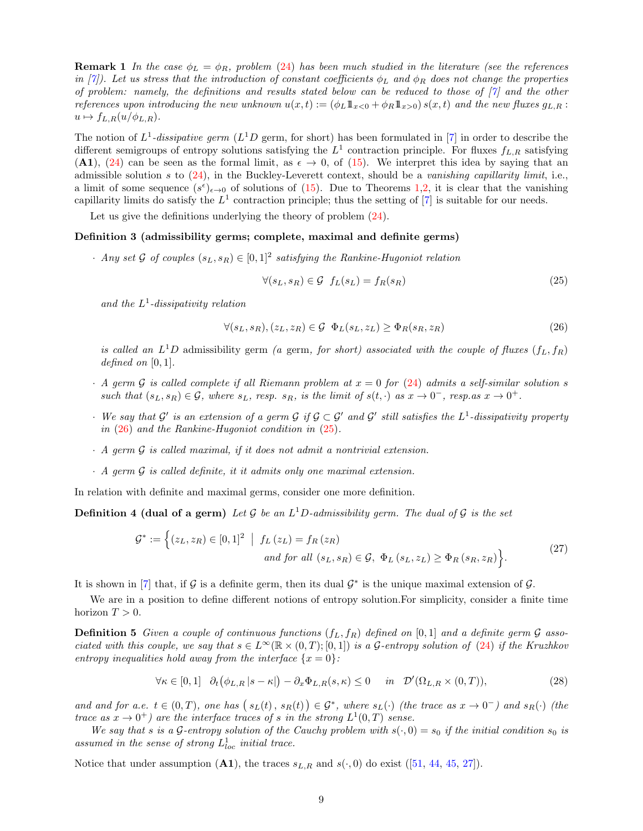**Remark 1** In the case  $\phi_L = \phi_R$ , problem [\(24\)](#page-7-3) has been much studied in the literature (see the references in [\[7\]](#page-21-3)). Let us stress that the introduction of constant coefficients  $\phi_L$  and  $\phi_R$  does not change the properties of problem: namely, the definitions and results stated below can be reduced to those of  $[7]$  and the other references upon introducing the new unknown  $u(x,t) := (\phi_L 1\!\!1_{x<0} + \phi_R 1\!\!1_{x>0}) s(x,t)$  and the new fluxes  $g_{L,R}$ :  $u \mapsto f_{L,R}(u/\phi_{L,R}).$ 

The notion of  $L^1$ -dissipative germ ( $L^1D$  germ, for short) has been formulated in [\[7\]](#page-21-3) in order to describe the different semigroups of entropy solutions satisfying the  $L^1$  contraction principle. For fluxes  $f_{L,R}$  satisfying (A1), [\(24\)](#page-7-3) can be seen as the formal limit, as  $\epsilon \to 0$ , of [\(15\)](#page-3-0). We interpret this idea by saying that an admissible solution s to [\(24\)](#page-7-3), in the Buckley-Leverett context, should be a vanishing capillarity limit, i.e., a limit of some sequence  $(s^{\epsilon})_{\epsilon \to 0}$  of solutions of [\(15\)](#page-3-0). Due to Theorems [1,](#page-4-5)[2,](#page-5-1) it is clear that the vanishing capillarity limits do satisfy the  $L^1$  contraction principle; thus the setting of [\[7\]](#page-21-3) is suitable for our needs.

Let us give the definitions underlying the theory of problem  $(24)$ .

#### Definition 3 (admissibility germs; complete, maximal and definite germs)

• Any set G of couples  $(s_L, s_R) \in [0, 1]^2$  satisfying the Rankine-Hugoniot relation

<span id="page-8-1"></span>
$$
\forall (s_L, s_R) \in \mathcal{G} \ f_L(s_L) = f_R(s_R) \tag{25}
$$

and the  $L^1$ -dissipativity relation

<span id="page-8-0"></span>
$$
\forall (s_L, s_R), (z_L, z_R) \in \mathcal{G} \quad \Phi_L(s_L, z_L) \ge \Phi_R(s_R, z_R) \tag{26}
$$

is called an  $L^1D$  admissibility germ (a germ, for short) associated with the couple of fluxes  $(f_L, f_R)$ defined on  $[0, 1]$ .

- $\cdot$  A germ G is called complete if all Riemann problem at  $x = 0$  for [\(24\)](#page-7-3) admits a self-similar solution s such that  $(s_L, s_R) \in \mathcal{G}$ , where  $s_L$ , resp.  $s_R$ , is the limit of  $s(t, \cdot)$  as  $x \to 0^-$ , resp. as  $x \to 0^+$ .
- We say that  $\mathcal{G}'$  is an extension of a germ  $\mathcal{G}$  if  $\mathcal{G} \subset \mathcal{G}'$  and  $\mathcal{G}'$  still satisfies the  $L^1$ -dissipativity property in [\(26\)](#page-8-0) and the Rankine-Hugoniot condition in [\(25\)](#page-8-1).
- $\cdot$  A germ  $\mathcal G$  is called maximal, if it does not admit a nontrivial extension.
- $\cdot$  A germ  $\mathcal G$  is called definite, it it admits only one maximal extension.

In relation with definite and maximal germs, consider one more definition.

**Definition 4 (dual of a germ)** Let G be an  $L^1D$ -admissibility germ. The dual of G is the set

$$
\mathcal{G}^* := \left\{ (z_L, z_R) \in [0, 1]^2 \middle| f_L(z_L) = f_R(z_R) \right\}
$$
  
and for all  $(s_L, s_R) \in \mathcal{G}$ ,  $\Phi_L(s_L, z_L) \ge \Phi_R(s_R, z_R) \right\}$ . (27)

It is shown in [\[7\]](#page-21-3) that, if G is a definite germ, then its dual  $\mathcal{G}^*$  is the unique maximal extension of G.

We are in a position to define different notions of entropy solution.For simplicity, consider a finite time horizon  $T > 0$ .

**Definition 5** Given a couple of continuous functions  $(f_L, f_R)$  defined on  $[0, 1]$  and a definite germ  $\mathcal G$  associated with this couple, we say that  $s \in L^{\infty}(\mathbb{R} \times (0,T);[0,1])$  is a G-entropy solution of [\(24\)](#page-7-3) if the Kruzhkov entropy inequalities hold away from the interface  $\{x=0\}$ :

<span id="page-8-2"></span>
$$
\forall \kappa \in [0,1] \quad \partial_t \big(\phi_{L,R} \, | s - \kappa| \big) - \partial_x \Phi_{L,R}(s,\kappa) \le 0 \quad in \quad \mathcal{D}'(\Omega_{L,R} \times (0,T)), \tag{28}
$$

and and for a.e.  $t \in (0,T)$ , one has  $(s_L(t), s_R(t)) \in \mathcal{G}^*$ , where  $s_L(\cdot)$  (the trace as  $x \to 0^-$ ) and  $s_R(\cdot)$  (the trace as  $x \to 0^+$ ) are the interface traces of s in the strong  $L^1(0,T)$  sense.

We say that s is a G-entropy solution of the Cauchy problem with  $s(\cdot, 0) = s_0$  if the initial condition  $s_0$  is assumed in the sense of strong  $L^1_{loc}$  initial trace.

Noticethat under assumption (A1), the traces  $s_{L,R}$  and  $s(\cdot,0)$  do exist ([\[51,](#page-23-7) [44,](#page-23-8) [45,](#page-23-9) [27\]](#page-22-16)).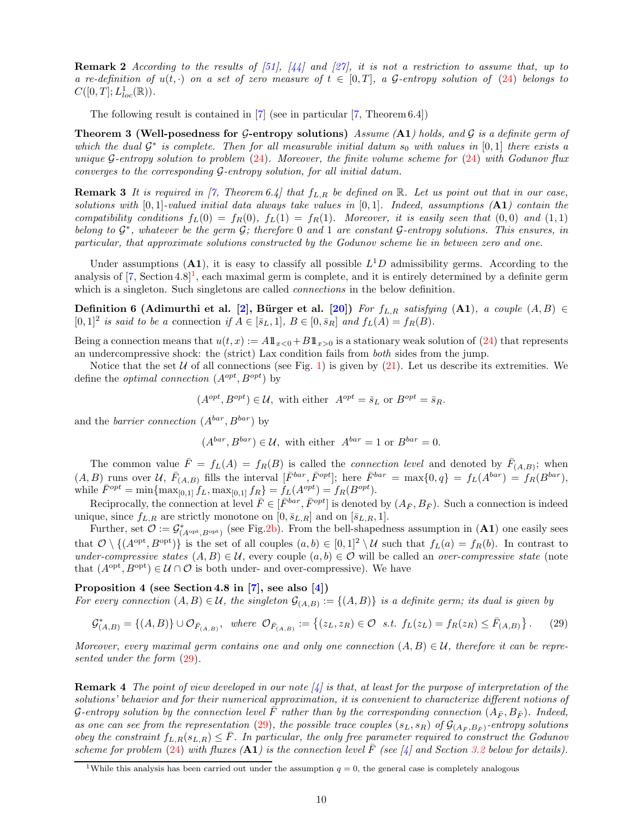**Remark 2** According to the results of [\[51\]](#page-23-7), [\[44\]](#page-23-8) and [\[27\]](#page-22-16), it is not a restriction to assume that, up to a re-definition of  $u(t, \cdot)$  on a set of zero measure of  $t \in [0, T]$ , a G-entropy solution of [\(24\)](#page-7-3) belongs to  $C([0, T]; L^{1}_{loc}(\mathbb{R})).$ 

<span id="page-9-2"></span>The following result is contained in [\[7\]](#page-21-3) (see in particular [\[7,](#page-21-3) Theorem 6.4])

**Theorem 3 (Well-posedness for G-entropy solutions)** Assume  $(A1)$  holds, and G is a definite germ of which the dual  $\mathcal{G}^*$  is complete. Then for all measurable initial datum  $s_0$  with values in  $[0,1]$  there exists a unique G-entropy solution to problem  $(24)$ . Moreover, the finite volume scheme for  $(24)$  with Godunov flux converges to the corresponding G-entropy solution, for all initial datum.

**Remark 3** It is required in [\[7,](#page-21-3) Theorem 6.4] that  $f_{L,R}$  be defined on R. Let us point out that in our case, solutions with  $[0, 1]$ -valued initial data always take values in  $[0, 1]$ . Indeed, assumptions  $(A1)$  contain the compatibility conditions  $f_L(0) = f_R(0)$ ,  $f_L(1) = f_R(1)$ . Moreover, it is easily seen that  $(0,0)$  and  $(1,1)$ belong to  $\mathcal{G}^*$ , whatever be the germ  $\mathcal{G}$ ; therefore 0 and 1 are constant  $\mathcal{G}$ -entropy solutions. This ensures, in particular, that approximate solutions constructed by the Godunov scheme lie in between zero and one.

Under assumptions  $(A1)$ , it is easy to classify all possible  $L<sup>1</sup>D$  admissibility germs. According to the analysis of  $[7, Section 4.8]^1$  $[7, Section 4.8]^1$ , each maximal germ is complete, and it is entirely determined by a definite germ which is a singleton. Such singletons are called *connections* in the below definition.

Definition 6 (Adimurthi et al. [\[2\]](#page-21-2), Bürger et al. [\[20\]](#page-22-4)) For  $f_{L,R}$  satisfying (A1), a couple  $(A, B) \in$  $[0,1]^2$  is said to be a connection if  $A \in [\bar{s}_L,1], B \in [0,\bar{s}_R]$  and  $f_L(A) = f_R(B)$ .

Being a connection means that  $u(t, x) := A1_{x>0} + B1_{x>0}$  is a stationary weak solution of [\(24\)](#page-7-3) that represents an undercompressive shock: the (strict) Lax condition fails from both sides from the jump.

Notice that the set U of all connections (see Fig. 1) is given by [\(21\)](#page-6-3). Let us describe its extremities. We define the *optimal connection*  $(A^{opt}, B^{opt})$  by

$$
(A^{opt}, B^{opt}) \in \mathcal{U}
$$
, with either  $A^{opt} = \overline{s}_L$  or  $B^{opt} = \overline{s}_R$ .

and the *barrier connection*  $(A^{bar}, B^{bar})$  by

$$
(A^{bar}, B^{bar}) \in \mathcal{U}
$$
, with either  $A^{bar} = 1$  or  $B^{bar} = 0$ .

The common value  $\bar{F} = f_L(A) = f_R(B)$  is called the *connection level* and denoted by  $\bar{F}_{(A,B)}$ ; when  $(A, B)$  runs over U,  $\bar{F}_{(A,B)}$  fills the interval  $[\bar{F}^{bar}, \bar{F}^{opt}]$ ; here  $\bar{F}^{bar} = \max\{0, q\} = f_L(A^{bar}) = f_R(B^{bar})$ , while  $\bar{F}^{opt} = \min \{ \max_{[0,1]} f_L, \max_{[0,1]} f_R \} = f_L(A^{opt}) = f_R(B^{opt}).$ 

Reciprocally, the connection at level  $\bar{F} \in [\bar{F}^{bar}, \bar{F}^{opt}]$  is denoted by  $(A_{\bar{F}}, B_{\bar{F}})$ . Such a connection is indeed unique, since  $f_{L,R}$  are strictly monotone on  $[0, \bar{s}_{L,R}]$  and on  $[\bar{s}_{L,R}, 1]$ .

Further, set  $\mathcal{O} := \mathcal{G}^*_{(A^{opt}, B^{opt})}$  (see Fig[.2b\)](#page-10-2). From the bell-shapedness assumption in  $(A1)$  one easily sees that  $\mathcal{O} \setminus \{ (A^{\text{opt}}, B^{\text{opt}}) \}$  is the set of all couples  $(a, b) \in [0, 1]^2 \setminus \mathcal{U}$  such that  $f_L(a) = f_R(b)$ . In contrast to under-compressive states  $(A, B) \in \mathcal{U}$ , every couple  $(a, b) \in \mathcal{O}$  will be called an over-compressive state (note that  $(A^{\text{opt}}, B^{\text{opt}}) \in \mathcal{U} \cap \mathcal{O}$  is both under- and over-compressive). We have

Proposition 4 (see Section 4.8 in [\[7\]](#page-21-3), see also [\[4\]](#page-21-4)) For every connection  $(A, B) \in \mathcal{U}$ , the singleton  $\mathcal{G}_{(A,B)} := \{(A, B)\}\$ is a definite germ; its dual is given by

<span id="page-9-1"></span>
$$
\mathcal{G}_{(A,B)}^* = \{(A,B)\} \cup \mathcal{O}_{\bar{F}_{(A,B)}}, \text{ where } \mathcal{O}_{\bar{F}_{(A,B)}} := \{(z_L,z_R) \in \mathcal{O} \text{ s.t. } f_L(z_L) = f_R(z_R) \le \bar{F}_{(A,B)}\}.
$$
 (29)

Moreover, every maximal germ contains one and only one connection  $(A, B) \in \mathcal{U}$ , therefore it can be represented under the form [\(29\)](#page-9-1).

**Remark 4** The point of view developed in our note  $\lbrack \nolimits 4 \rbrack$  is that, at least for the purpose of interpretation of the solutions' behavior and for their numerical approximation, it is convenient to characterize different notions of G-entropy solution by the connection level  $\bar{F}$  rather than by the corresponding connection  $(A_{\bar{F}}, B_{\bar{F}})$ . Indeed, as one can see from the representation [\(29\)](#page-9-1), the possible trace couples  $(s_L, s_R)$  of  $\mathcal{G}_{(A_{\bar{F}}, B_{\bar{F}})}$ -entropy solutions obey the constraint  $f_{L,R}(s_{L,R}) \leq \bar{F}$ . In particular, the only free parameter required to construct the Godunov scheme for problem [\(24\)](#page-7-3) with fluxes (A1) is the connection level  $\bar{F}$  (see [\[4\]](#page-21-4) and Section [3.2](#page-12-0) below for details).

<span id="page-9-0"></span><sup>&</sup>lt;sup>1</sup>While this analysis has been carried out under the assumption  $q = 0$ , the general case is completely analogous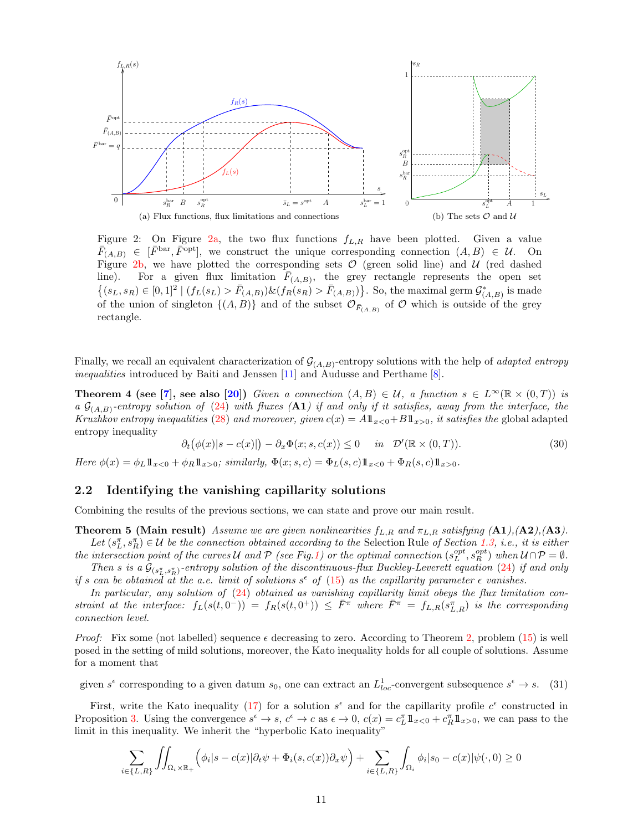<span id="page-10-3"></span>

<span id="page-10-2"></span>Figure 2: On Figure [2a,](#page-10-3) the two flux functions  $f_{L,R}$  have been plotted. Given a value  $\overline{F}_{(A,B)} \in [\overline{F}^{\text{bar}}, \overline{F}^{\text{opt}}],$  we construct the unique corresponding connection  $(A, B) \in \mathcal{U}$ . On Figure [2b,](#page-10-2) we have plotted the corresponding sets  $O$  (green solid line) and  $U$  (red dashed line). For a given flux limitation  $\bar{F}_{(A,B)}$ , the grey rectangle represents the open set  $\{(s_L, s_R) \in [0,1]^2 \mid (f_L(s_L) > \bar{F}_{(A,B)}) \& (f_R(s_R) > \bar{F}_{(A,B)})\}.$  So, the maximal germ  $\mathcal{G}^*_{(A,B)}$  is made of the union of singleton  $\{(A, B)\}$  and of the subset  $\mathcal{O}_{\bar{F}_{(A,B)}}$  of  $\mathcal O$  which is outside of the grey rectangle.

Finally, we recall an equivalent characterization of  $\mathcal{G}_{(A,B)}$ -entropy solutions with the help of *adapted entropy* inequalities introduced by Baiti and Jenssen [\[11\]](#page-21-13) and Audusse and Perthame [\[8\]](#page-21-14).

**Theorem 4 (see [\[7\]](#page-21-3), see also [\[20\]](#page-22-4))** Given a connection  $(A, B) \in \mathcal{U}$ , a function  $s \in L^{\infty}(\mathbb{R} \times (0, T))$  is a  $\mathcal{G}_{(A,B)}$ -entropy solution of [\(24\)](#page-7-3) with fluxes (A1) if and only if it satisfies, away from the interface, the Kruzhkov entropy inequalities [\(28\)](#page-8-2) and moreover, given  $c(x) = A \mathbb{1}_{x>0} + B \mathbb{1}_{x>0}$ , it satisfies the global adapted entropy inequality

<span id="page-10-6"></span><span id="page-10-4"></span><span id="page-10-1"></span>
$$
\partial_t(\phi(x)|s - c(x)|) - \partial_x \Phi(x; s, c(x)) \le 0 \quad in \quad \mathcal{D}'(\mathbb{R} \times (0, T)). \tag{30}
$$

Here  $\phi(x) = \phi_L \mathbb{1}_{x<0} + \phi_R \mathbb{1}_{x>0}$ ; similarly,  $\Phi(x; s, c) = \Phi_L(s, c) \mathbb{1}_{x>0} + \Phi_R(s, c) \mathbb{1}_{x>0}$ .

#### <span id="page-10-0"></span>2.2 Identifying the vanishing capillarity solutions

Combining the results of the previous sections, we can state and prove our main result.

**Theorem 5 (Main result)** Assume we are given nonlinearities  $f_{L,R}$  and  $\pi_{L,R}$  satisfying  $(41),(42),(43)$ .

Let  $(s_L^{\pi}, s_R^{\pi}) \in \mathcal{U}$  be the connection obtained according to the Selection Rule of Section [1.3,](#page-6-0) i.e., it is either the intersection point of the curves U and P (see Fig.1) or the optimal connection  $(s_L^{opt}, s_R^{opt})$  when  $U \cap P = \emptyset$ .

Then s is a  $\mathcal{G}_{(s_L^{\pi}, s_R^{\pi})}$ -entropy solution of the discontinuous-flux Buckley-Leverett equation [\(24\)](#page-7-3) if and only if s can be obtained at the a.e. limit of solutions  $s^{\epsilon}$  of [\(15\)](#page-3-0) as the capillarity parameter  $\epsilon$  vanishes.

In particular, any solution of [\(24\)](#page-7-3) obtained as vanishing capillarity limit obeys the flux limitation constraint at the interface:  $f_L(s(t, 0^-)) = f_R(s(t, 0^+)) \leq \overline{F}^{\pi}$  where  $\overline{F}^{\pi} = f_{L,R}(s_{L,R}^{\pi})$  is the corresponding connection level.

*Proof:* Fix some (not labelled) sequence  $\epsilon$  decreasing to zero. According to Theorem [2,](#page-5-1) problem [\(15\)](#page-3-0) is well posed in the setting of mild solutions, moreover, the Kato inequality holds for all couple of solutions. Assume for a moment that

<span id="page-10-5"></span>given  $s^{\epsilon}$  corresponding to a given datum  $s_0$ , one can extract an  $L_{loc}^1$ -convergent subsequence  $s^{\epsilon} \to s$ . (31)

First, write the Kato inequality [\(17\)](#page-4-3) for a solution  $s^{\epsilon}$  and for the capillarity profile  $c^{\epsilon}$  constructed in Proposition [3.](#page-6-1) Using the convergence  $s^{\epsilon} \to s$ ,  $c^{\epsilon} \to c$  as  $\epsilon \to 0$ ,  $c(x) = c_L^{\pi} \mathbb{1}_{x>0} + c_R^{\pi} \mathbb{1}_{x>0}$ , we can pass to the limit in this inequality. We inherit the "hyperbolic Kato inequality"

$$
\sum_{i \in \{L,R\}} \iint_{\Omega_i \times \mathbb{R}_+} \left( \phi_i | s - c(x) | \partial_t \psi + \Phi_i(s, c(x)) \partial_x \psi \right) + \sum_{i \in \{L,R\}} \int_{\Omega_i} \phi_i | s_0 - c(x) | \psi(\cdot, 0) \ge 0
$$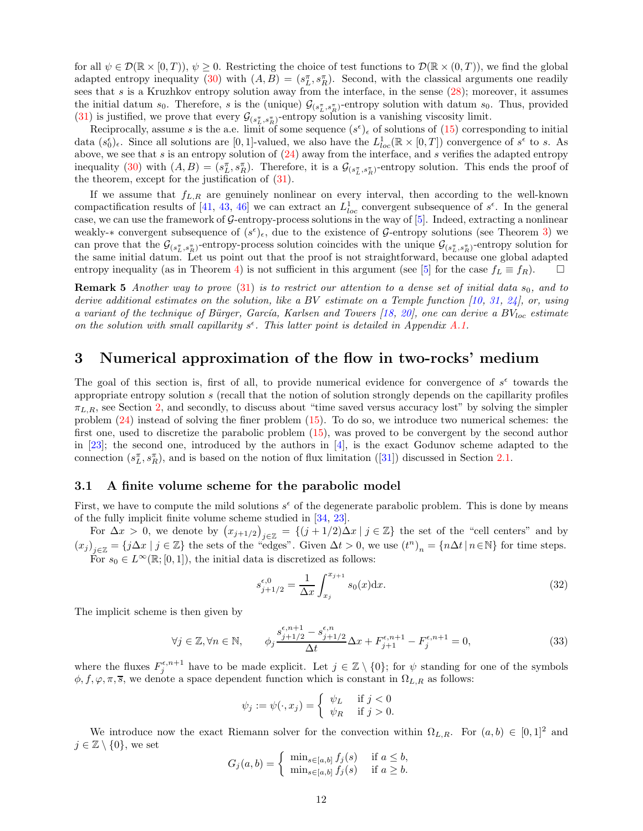for all  $\psi \in \mathcal{D}(\mathbb{R} \times [0,T))$ ,  $\psi \ge 0$ . Restricting the choice of test functions to  $\mathcal{D}(\mathbb{R} \times (0,T))$ , we find the global adapted entropy inequality [\(30\)](#page-10-4) with  $(A, B) = (s_L^{\pi}, s_R^{\pi})$ . Second, with the classical arguments one readily sees that  $s$  is a Kruzhkov entropy solution away from the interface, in the sense  $(28)$ ; moreover, it assumes the initial datum  $s_0$ . Therefore, s is the (unique)  $\mathcal{G}_{(s_L^{\pi}, s_R^{\pi})}$ -entropy solution with datum  $s_0$ . Thus, provided [\(31\)](#page-10-5) is justified, we prove that every  $\mathcal{G}_{(s_L^{\pi}, s_R^{\pi})}$ -entropy solution is a vanishing viscosity limit.

Reciprocally, assume s is the a.e. limit of some sequence  $(s^{\epsilon})_{\epsilon}$  of solutions of [\(15\)](#page-3-0) corresponding to initial data  $(s_0^{\epsilon})_{\epsilon}$ . Since all solutions are [0, 1]-valued, we also have the  $L_{loc}^1(\mathbb{R} \times [0,T])$  convergence of  $s^{\epsilon}$  to s. As above, we see that s is an entropy solution of  $(24)$  away from the interface, and s verifies the adapted entropy inequality [\(30\)](#page-10-4) with  $(A, B) = (s_L^{\pi}, s_R^{\pi})$ . Therefore, it is a  $\mathcal{G}_{(s_L^{\pi}, s_R^{\pi})}$ -entropy solution. This ends the proof of the theorem, except for the justification of [\(31\)](#page-10-5).

If we assume that  $f_{L,R}$  are genuinely nonlinear on every interval, then according to the well-known compactification results of [\[41,](#page-23-10) [43,](#page-23-11) [46\]](#page-23-2) we can extract an  $L_{loc}^1$  convergent subsequence of  $s^{\epsilon}$ . In the general case, we can use the framework of  $G$ -entropy-process solutions in the way of  $[5]$ . Indeed, extracting a nonlinear weakly-\* convergent subsequence of  $(s^{\epsilon})_{\epsilon}$ , due to the existence of G-entropy solutions (see Theorem [3\)](#page-9-2) we can prove that the  $\mathcal{G}_{(s_L^{\pi}, s_R^{\pi})}$ -entropy-process solution coincides with the unique  $\mathcal{G}_{(s_L^{\pi}, s_R^{\pi})}$ -entropy solution for the same initial datum. Let us point out that the proof is not straightforward, because one global adapted entropy inequality (as in Theorem [4\)](#page-10-6) is not sufficient in this argument (see [\[5\]](#page-21-10) for the case  $f_L \equiv f_R$ ).  $\Box$ 

**Remark 5** Another way to prove  $(31)$  is to restrict our attention to a dense set of initial data  $s_0$ , and to derive additional estimates on the solution, like a BV estimate on a Temple function [\[10,](#page-21-15) [31,](#page-22-17) [24\]](#page-22-5), or, using a variant of the technique of Bürger, García, Karlsen and Towers [\[18,](#page-22-18) [20\]](#page-22-4), one can derive a  $BV_{loc}$  estimate on the solution with small capillarity  $s^{\epsilon}$ . This latter point is detailed in Appendix [A.1.](#page-18-1)

### <span id="page-11-0"></span>3 Numerical approximation of the flow in two-rocks' medium

The goal of this section is, first of all, to provide numerical evidence for convergence of  $s^{\epsilon}$  towards the appropriate entropy solution s (recall that the notion of solution strongly depends on the capillarity profiles  $\pi_{L,R}$ , see Section [2,](#page-7-0) and secondly, to discuss about "time saved versus accuracy lost" by solving the simpler problem  $(24)$  instead of solving the finer problem  $(15)$ . To do so, we introduce two numerical schemes: the first one, used to discretize the parabolic problem [\(15\)](#page-3-0), was proved to be convergent by the second author in [\[23\]](#page-22-7); the second one, introduced by the authors in [\[4\]](#page-21-4), is the exact Godunov scheme adapted to the connection $(s_L^{\pi}, s_R^{\pi})$ , and is based on the notion of flux limitation ([\[31\]](#page-22-17)) discussed in Section [2.1.](#page-7-1)

#### <span id="page-11-1"></span>3.1 A finite volume scheme for the parabolic model

First, we have to compute the mild solutions  $s^{\epsilon}$  of the degenerate parabolic problem. This is done by means of the fully implicit finite volume scheme studied in [\[34,](#page-22-14) [23\]](#page-22-7).

For  $\Delta x > 0$ , we denote by  $(x_{j+1/2})_{j\in\mathbb{Z}} = \{(j+1/2)\Delta x \mid j \in \mathbb{Z}\}\)$  the set of the "cell centers" and by  $(x_j)_{j\in\mathbb{Z}} = \{j\Delta x \mid j \in \mathbb{Z}\}\$ the sets of the "edges". Given  $\Delta t > 0$ , we use  $(t^n)_n = \{n\Delta t \mid n \in \mathbb{N}\}\$ for time steps. For  $s_0 \in L^{\infty}(\mathbb{R};[0,1])$ , the initial data is discretized as follows:

<span id="page-11-3"></span>
$$
s_{j+1/2}^{\epsilon,0} = \frac{1}{\Delta x} \int_{x_j}^{x_{j+1}} s_0(x) \mathrm{d}x. \tag{32}
$$

The implicit scheme is then given by

<span id="page-11-2"></span>
$$
\forall j \in \mathbb{Z}, \forall n \in \mathbb{N}, \qquad \phi_j \frac{s_{j+1/2}^{\epsilon, n+1} - s_{j+1/2}^{\epsilon, n}}{\Delta t} \Delta x + F_{j+1}^{\epsilon, n+1} - F_j^{\epsilon, n+1} = 0,\tag{33}
$$

where the fluxes  $F_j^{\epsilon,n+1}$  have to be made explicit. Let  $j \in \mathbb{Z} \setminus \{0\}$ ; for  $\psi$  standing for one of the symbols  $\phi, f, \varphi, \pi, \overline{s}$ , we denote a space dependent function which is constant in  $\Omega_{L,R}$  as follows:

$$
\psi_j := \psi(\cdot, x_j) = \begin{cases} \psi_L & \text{if } j < 0 \\ \psi_R & \text{if } j > 0. \end{cases}
$$

We introduce now the exact Riemann solver for the convection within  $\Omega_{L,R}$ . For  $(a, b) \in [0, 1]^2$  and  $j \in \mathbb{Z} \setminus \{0\}$ , we set

$$
G_j(a,b) = \begin{cases} \min_{s \in [a,b]} f_j(s) & \text{if } a \le b, \\ \min_{s \in [a,b]} f_j(s) & \text{if } a \ge b. \end{cases}
$$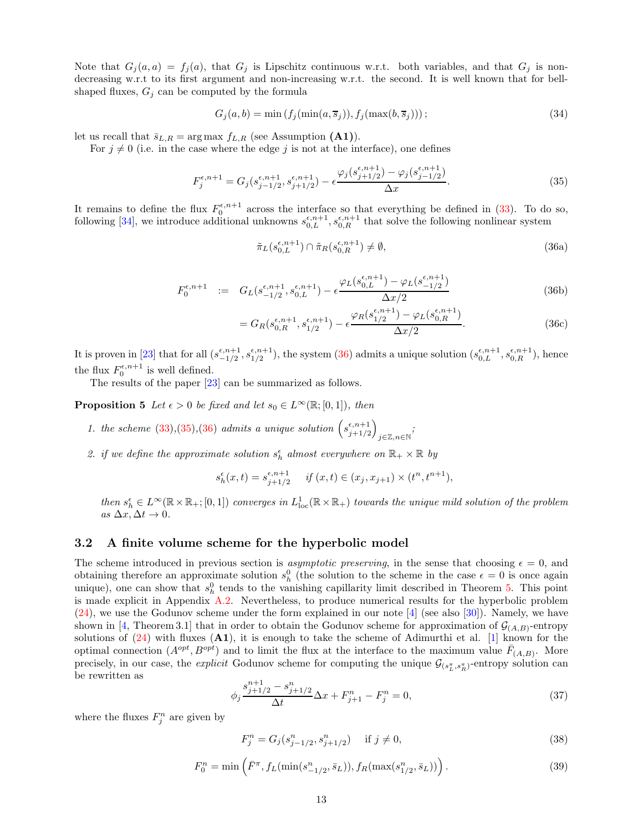Note that  $G_j(a, a) = f_j(a)$ , that  $G_j$  is Lipschitz continuous w.r.t. both variables, and that  $G_j$  is nondecreasing w.r.t to its first argument and non-increasing w.r.t. the second. It is well known that for bellshaped fluxes,  $G_j$  can be computed by the formula

<span id="page-12-4"></span>
$$
G_j(a, b) = \min\left(f_j(\min(a, \overline{s}_j)), f_j(\max(b, \overline{s}_j))\right);
$$
\n(34)

let us recall that  $\bar{s}_{L,R} = \arg \max f_{L,R}$  (see Assumption (A1)).

For  $j \neq 0$  (i.e. in the case where the edge j is not at the interface), one defines

<span id="page-12-2"></span>
$$
F_j^{\epsilon, n+1} = G_j(s_{j-1/2}^{\epsilon, n+1}, s_{j+1/2}^{\epsilon, n+1}) - \epsilon \frac{\varphi_j(s_{j+1/2}^{\epsilon, n+1}) - \varphi_j(s_{j-1/2}^{\epsilon, n+1})}{\Delta x}.
$$
\n(35)

It remains to define the flux  $F_0^{\epsilon,n+1}$  across the interface so that everything be defined in [\(33\)](#page-11-2). To do so, following [\[34\]](#page-22-14), we introduce additional unknowns  $s_{0,L}^{\epsilon,n+1}, s_{0,R}^{\epsilon,n+1}$  that solve the following nonlinear system

<span id="page-12-1"></span>
$$
\tilde{\pi}_L(s_{0,L}^{\epsilon,n+1}) \cap \tilde{\pi}_R(s_{0,R}^{\epsilon,n+1}) \neq \emptyset,
$$
\n(36a)

$$
F_0^{\epsilon, n+1} := G_L(s_{-1/2}^{\epsilon, n+1}, s_{0,L}^{\epsilon, n+1}) - \epsilon \frac{\varphi_L(s_{0,L}^{\epsilon, n+1}) - \varphi_L(s_{-1/2}^{\epsilon, n+1})}{\Delta x/2}
$$
(36b)

$$
=G_R(s_{0,R}^{\epsilon,n+1}, s_{1/2}^{\epsilon,n+1}) - \epsilon \frac{\varphi_R(s_{1/2}^{\epsilon,n+1}) - \varphi_L(s_{0,R}^{\epsilon,n+1})}{\Delta x/2}.
$$
 (36c)

It is proven in [\[23\]](#page-22-7) that for all  $(s_{-1/2}^{\epsilon,n+1})$  $_{-1/2}^{\epsilon,n+1},s_{1/2}^{\epsilon,n+1}$  $\frac{(5,6,7)}{1/2}$ , the system [\(36\)](#page-12-1) admits a unique solution  $(s_{0,L}^{\epsilon,n+1}, s_{0,R}^{\epsilon,n+1})$ , hence the flux  $F_0^{\epsilon,n+1}$  is well defined.

<span id="page-12-7"></span>The results of the paper [\[23\]](#page-22-7) can be summarized as follows.

**Proposition 5** Let  $\epsilon > 0$  be fixed and let  $s_0 \in L^{\infty}(\mathbb{R};[0,1])$ , then

- 1. the scheme [\(33\)](#page-11-2),[\(35\)](#page-12-2),[\(36\)](#page-12-1) admits a unique solution  $(s_{i+1/2}^{\epsilon,n+1})$  $j+1/2$  $\setminus$ j∈Z,n∈N ;
- 2. if we define the approximate solution  $s_h^{\epsilon}$  almost everywhere on  $\mathbb{R}_+ \times \mathbb{R}$  by

$$
s_h^{\epsilon}(x,t) = s_{j+1/2}^{\epsilon, n+1} \quad \text{if } (x,t) \in (x_j, x_{j+1}) \times (t^n, t^{n+1}),
$$

then  $s_h^{\epsilon} \in L^{\infty}(\mathbb{R} \times \mathbb{R}_+; [0,1])$  converges in  $L^1_{loc}(\mathbb{R} \times \mathbb{R}_+)$  towards the unique mild solution of the problem as  $\Delta x, \Delta t \to 0$ .

#### <span id="page-12-0"></span>3.2 A finite volume scheme for the hyperbolic model

The scheme introduced in previous section is *asymptotic preserving*, in the sense that choosing  $\epsilon = 0$ , and obtaining therefore an approximate solution  $s_h^0$  (the solution to the scheme in the case  $\epsilon = 0$  is once again unique), one can show that  $s_h^0$  tends to the vanishing capillarity limit described in Theorem [5.](#page-10-1) This point is made explicit in Appendix [A.2.](#page-18-2) Nevertheless, to produce numerical results for the hyperbolic problem [\(24\)](#page-7-3), we use the Godunov scheme under the form explained in our note [\[4\]](#page-21-4) (see also [\[30\]](#page-22-19)). Namely, we have shown in [\[4,](#page-21-4) Theorem 3.1] that in order to obtain the Godunov scheme for approximation of  $\mathcal{G}_{(A,B)}$ -entropy solutions of  $(24)$  with fluxes  $(A1)$ , it is enough to take the scheme of Adimurthi et al. [\[1\]](#page-21-1) known for the optimal connection  $(A^{opt}, B^{opt})$  and to limit the flux at the interface to the maximum value  $\bar{F}_{(A,B)}$ . More precisely, in our case, the *explicit* Godunov scheme for computing the unique  $\mathcal{G}_{(s_L^{\pi}, s_R^{\pi})}$ -entropy solution can be rewritten as

<span id="page-12-6"></span>
$$
\phi_j \frac{s_{j+1/2}^{n+1} - s_{j+1/2}^n}{\Delta t} \Delta x + F_{j+1}^n - F_j^n = 0,
$$
\n(37)

where the fluxes  $F_j^n$  are given by

<span id="page-12-3"></span>
$$
F_j^n = G_j(s_{j-1/2}^n, s_{j+1/2}^n) \quad \text{if } j \neq 0,
$$
\n(38)

<span id="page-12-5"></span>
$$
F_0^n = \min\left(\bar{F}^\pi, f_L(\min(s_{-1/2}^n, \bar{s}_L)), f_R(\max(s_{1/2}^n, \bar{s}_L))\right). \tag{39}
$$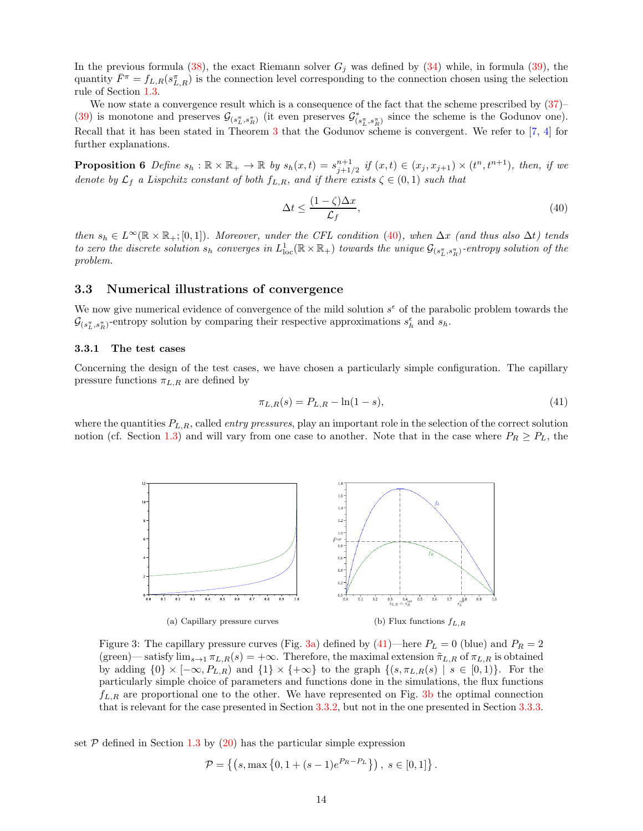In the previous formula [\(38\)](#page-12-3), the exact Riemann solver  $G_j$  was defined by [\(34\)](#page-12-4) while, in formula [\(39\)](#page-12-5), the quantity  $\bar{F}^{\pi} = f_{L,R}(s_{L,R}^{\pi})$  is the connection level corresponding to the connection chosen using the selection rule of Section [1.3.](#page-6-0)

We now state a convergence result which is a consequence of the fact that the scheme prescribed by  $(37)$ – [\(39\)](#page-12-5) is monotone and preserves  $\mathcal{G}_{(s_L^{\pi}, s_R^{\pi})}$  (it even preserves  $\mathcal{G}^*_{(s_L^{\pi}, s_R^{\pi})}$  since the scheme is the Godunov one). Recall that it has been stated in Theorem [3](#page-9-2) that the Godunov scheme is convergent. We refer to [\[7,](#page-21-3) [4\]](#page-21-4) for further explanations.

**Proposition 6** Define  $s_h : \mathbb{R} \times \mathbb{R}_+ \to \mathbb{R}$  by  $s_h(x,t) = s_{j+1/2}^{n+1}$  if  $(x,t) \in (x_j, x_{j+1}) \times (t^n, t^{n+1})$ , then, if we denote by  $\mathcal{L}_f$  a Lispchitz constant of both  $f_{L,R}$ , and if there exists  $\zeta \in (0,1)$  such that

<span id="page-13-2"></span>
$$
\Delta t \le \frac{(1-\zeta)\Delta x}{\mathcal{L}_f},\tag{40}
$$

then  $s_h \in L^{\infty}(\mathbb{R} \times \mathbb{R}_+; [0, 1])$ . Moreover, under the CFL condition [\(40\)](#page-13-2), when  $\Delta x$  (and thus also  $\Delta t$ ) tends to zero the discrete solution  $s_h$  converges in  $L^1_{\text{loc}}(\mathbb{R} \times \mathbb{R}_+)$  towards the unique  $\mathcal{G}_{(s_L^{\pi},s_R^{\pi})}$ -entropy solution of the problem.

#### <span id="page-13-0"></span>3.3 Numerical illustrations of convergence

We now give numerical evidence of convergence of the mild solution  $s^{\epsilon}$  of the parabolic problem towards the  $\mathcal{G}_{(s_L^{\pi},s_R^{\pi})}$ -entropy solution by comparing their respective approximations  $s_h^{\epsilon}$  and  $s_h$ .

#### <span id="page-13-1"></span>3.3.1 The test cases

Concerning the design of the test cases, we have chosen a particularly simple configuration. The capillary pressure functions  $\pi_{L,R}$  are defined by

<span id="page-13-4"></span>
$$
\pi_{L,R}(s) = P_{L,R} - \ln(1-s),\tag{41}
$$

<span id="page-13-3"></span>where the quantities  $P_{L,R}$ , called *entry pressures*, play an important role in the selection of the correct solution notion (cf. Section [1.3\)](#page-6-0) and will vary from one case to another. Note that in the case where  $P_R \geq P_L$ , the



Figure 3: The capillary pressure curves (Fig. [3a\)](#page-13-3) defined by [\(41\)](#page-13-4)—here  $P_L = 0$  (blue) and  $P_R = 2$ (green)— satisfy  $\lim_{s\to 1} \pi_{L,R}(s) = +\infty$ . Therefore, the maximal extension  $\tilde{\pi}_{L,R}$  of  $\pi_{L,R}$  is obtained by adding  $\{0\} \times [-\infty, P_{L,R})$  and  $\{1\} \times \{+\infty\}$  to the graph  $\{(s, \pi_{L,R}(s) \mid s \in [0,1)\}$ . For the particularly simple choice of parameters and functions done in the simulations, the flux functions  $f_{L,R}$  are proportional one to the other. We have represented on Fig. [3b](#page-13-5) the optimal connection that is relevant for the case presented in Section [3.3.2,](#page-14-0) but not in the one presented in Section [3.3.3.](#page-14-1)

set  $P$  defined in Section [1.3](#page-6-0) by [\(20\)](#page-6-2) has the particular simple expression

<span id="page-13-5"></span>
$$
\mathcal{P} = \left\{ \left( s, \max\left\{ 0, 1 + (s-1)e^{P_R - P_L} \right\} \right), \ s \in [0,1] \right\}.
$$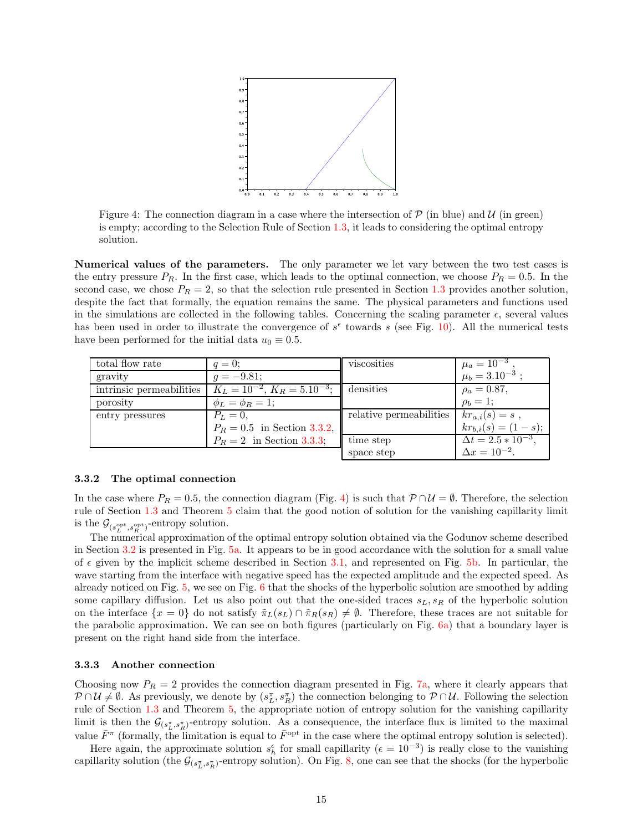<span id="page-14-2"></span>

Figure 4: The connection diagram in a case where the intersection of  $P$  (in blue) and  $U$  (in green) is empty; according to the Selection Rule of Section [1.3,](#page-6-0) it leads to considering the optimal entropy solution.

Numerical values of the parameters. The only parameter we let vary between the two test cases is the entry pressure  $P_R$ . In the first case, which leads to the optimal connection, we choose  $P_R = 0.5$ . In the second case, we chose  $P_R = 2$ , so that the selection rule presented in Section [1.3](#page-6-0) provides another solution, despite the fact that formally, the equation remains the same. The physical parameters and functions used in the simulations are collected in the following tables. Concerning the scaling parameter  $\epsilon$ , several values has been used in order to illustrate the convergence of  $s^{\epsilon}$  towards s (see Fig. [10\)](#page-16-1). All the numerical tests have been performed for the initial data  $u_0 \equiv 0.5$ .

| total flow rate          | $q=0$ :                               | viscosities             | $\mu_a = \overline{10^{-3}}$ ,<br>$\mu_b = 3.10^{-3}$ ; |
|--------------------------|---------------------------------------|-------------------------|---------------------------------------------------------|
| gravity                  | $q = -9.81$                           |                         |                                                         |
| intrinsic permeabilities | $K_L = 10^{-2}$ , $K_R = 5.10^{-3}$ ; | densities               | $\rho_a = 0.87,$                                        |
| porosity                 | $\phi_L = \phi_R = 1;$                |                         | $\rho_b = 1;$                                           |
| entry pressures          | $P_L = 0.$                            | relative permeabilities | $kr_{a,i}(s) = s$ ,                                     |
|                          | $P_R = 0.5$ in Section 3.3.2,         |                         | $kr_{b,i}(s) = (1-s);$                                  |
|                          | $P_R = 2$ in Section 3.3.3;           | time step               | $\Delta t = 2.5 * 10^{-3}$ ,                            |
|                          |                                       | space step              | $\Delta x = 10^{-2}$ .                                  |

#### <span id="page-14-0"></span>3.3.2 The optimal connection

In the case where  $P_R = 0.5$ , the connection diagram (Fig. 4) is such that  $P \cap \mathcal{U} = \emptyset$ . Therefore, the selection rule of Section [1.3](#page-6-0) and Theorem [5](#page-10-1) claim that the good notion of solution for the vanishing capillarity limit is the  $\mathcal{G}_{(s_L^{\text{opt}}, s_R^{\text{opt}})}$ -entropy solution.

The numerical approximation of the optimal entropy solution obtained via the Godunov scheme described in Section [3.2](#page-12-0) is presented in Fig. [5a.](#page-15-0) It appears to be in good accordance with the solution for a small value of  $\epsilon$  given by the implicit scheme described in Section [3.1,](#page-11-1) and represented on Fig. [5b.](#page-15-1) In particular, the wave starting from the interface with negative speed has the expected amplitude and the expected speed. As already noticed on Fig. [5,](#page-14-2) we see on Fig.  $6$  that the shocks of the hyperbolic solution are smoothed by adding some capillary diffusion. Let us also point out that the one-sided traces  $s_L, s_R$  of the hyperbolic solution on the interface  $\{x = 0\}$  do not satisfy  $\tilde{\pi}_L(s_L) \cap \tilde{\pi}_R(s_R) \neq \emptyset$ . Therefore, these traces are not suitable for the parabolic approximation. We can see on both figures (particularly on Fig. [6a\)](#page-15-3) that a boundary layer is present on the right hand side from the interface.

#### <span id="page-14-1"></span>3.3.3 Another connection

Choosing now  $P_R = 2$  provides the connection diagram presented in Fig. [7a,](#page-15-4) where it clearly appears that  $P \cap U \neq \emptyset$ . As previously, we denote by  $(s_L^{\pi}, s_R^{\pi})$  the connection belonging to  $P \cap U$ . Following the selection rule of Section [1.3](#page-6-0) and Theorem [5,](#page-10-1) the appropriate notion of entropy solution for the vanishing capillarity limit is then the  $\mathcal{G}_{(s_L^{\pi}, s_R^{\pi})}$ -entropy solution. As a consequence, the interface flux is limited to the maximal value  $\bar{F}^{\pi}$  (formally, the limitation is equal to  $\bar{F}^{\text{opt}}$  in the case where the optimal entropy solution is selected).

Here again, the approximate solution  $s_h^{\epsilon}$  for small capillarity ( $\epsilon = 10^{-3}$ ) is really close to the vanishing capillarity solution (the  $\mathcal{G}_{(s_L^{\pi},s_R^{\pi})}$ -entropy solution). On Fig. [8,](#page-15-5) one can see that the shocks (for the hyperbolic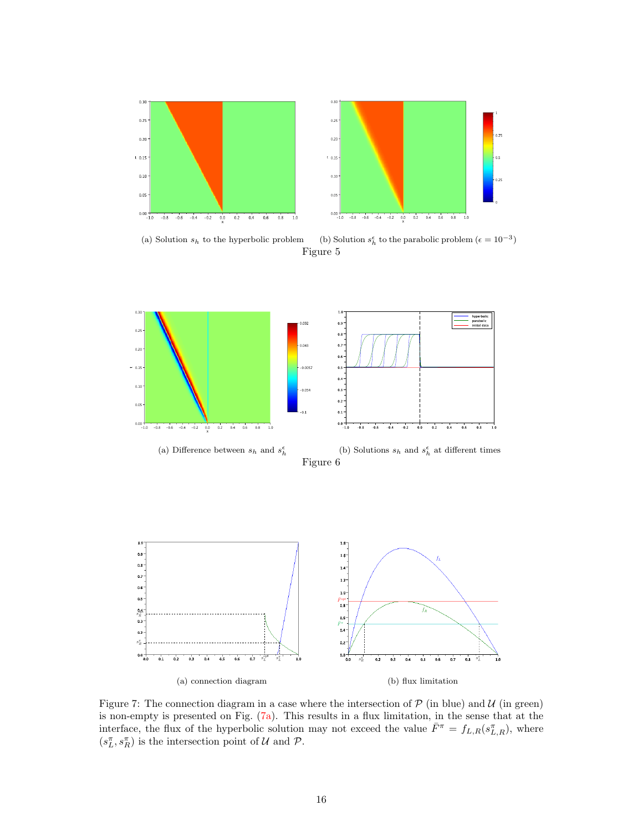<span id="page-15-2"></span><span id="page-15-0"></span>

<span id="page-15-1"></span>

(a) Solution  $s_h$  to the hyperbolic problem  $\frac{\epsilon}{h}$  to the parabolic problem  $(\epsilon = 10^{-3})$ Figure 5

<span id="page-15-3"></span>

<span id="page-15-5"></span><span id="page-15-4"></span>Figure 7: The connection diagram in a case where the intersection of  $P$  (in blue) and  $U$  (in green) is non-empty is presented on Fig. [\(7a\)](#page-15-4). This results in a flux limitation, in the sense that at the interface, the flux of the hyperbolic solution may not exceed the value  $\bar{F}^{\pi} = f_{L,R}(s_{L,R}^{\pi})$ , where  $(s_L^{\pi}, s_R^{\pi})$  is the intersection point of U and P.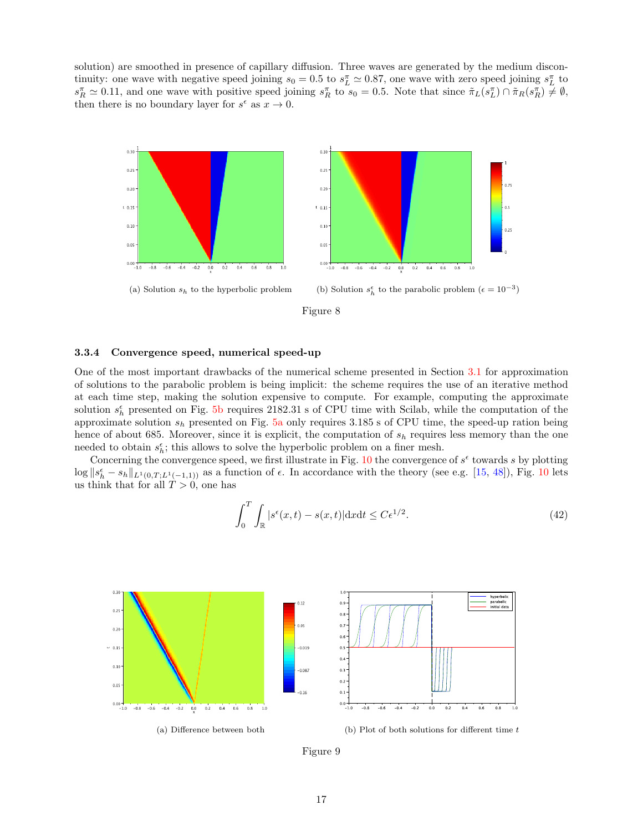<span id="page-16-3"></span>solution) are smoothed in presence of capillary diffusion. Three waves are generated by the medium discontinuity: one wave with negative speed joining  $s_0 = 0.5$  to  $s_L^{\pi} \simeq 0.87$ , one wave with zero speed joining  $s_L^{\pi}$  to  $s_R^{\pi} \simeq 0.11$ , and one wave with positive speed joining  $s_R^{\pi}$  to  $s_0 = 0.5$ . Note that since  $\tilde{\pi}_L(s_L^{\pi}) \cap \tilde{\pi}_R(s_R^{\pi}) \neq \emptyset$ , then there is no boundary layer for  $s^{\epsilon}$  as  $x \to 0$ .





#### <span id="page-16-0"></span>3.3.4 Convergence speed, numerical speed-up

One of the most important drawbacks of the numerical scheme presented in Section [3.1](#page-11-1) for approximation of solutions to the parabolic problem is being implicit: the scheme requires the use of an iterative method at each time step, making the solution expensive to compute. For example, computing the approximate solution  $s_h^{\epsilon}$  presented on Fig. [5b](#page-15-1) requires 2182.31 s of CPU time with Scilab, while the computation of the approximate solution  $s_h$  presented on Fig. [5a](#page-15-0) only requires 3.185 s of CPU time, the speed-up ration being hence of about 685. Moreover, since it is explicit, the computation of  $s<sub>h</sub>$  requires less memory than the one needed to obtain  $s_h^{\epsilon}$ ; this allows to solve the hyperbolic problem on a finer mesh.

Concerning the convergence speed, we first illustrate in Fig. [10](#page-16-1) the convergence of  $s^{\epsilon}$  towards s by plotting  $\log \|s_h^{\epsilon} - s_h\|_{L^1(0,T;L^1(-1,1))}$  as a function of  $\epsilon$ . In accordance with the theory (see e.g. [\[15,](#page-21-0) [48\]](#page-23-12)), Fig. [10](#page-16-1) lets us think that for all  $T > 0$ , one has

<span id="page-16-2"></span>
$$
\int_0^T \int_{\mathbb{R}} |s^{\epsilon}(x,t) - s(x,t)| \, \mathrm{d}x \mathrm{d}t \le C \epsilon^{1/2}.
$$
 (42)

<span id="page-16-1"></span>

Figure 9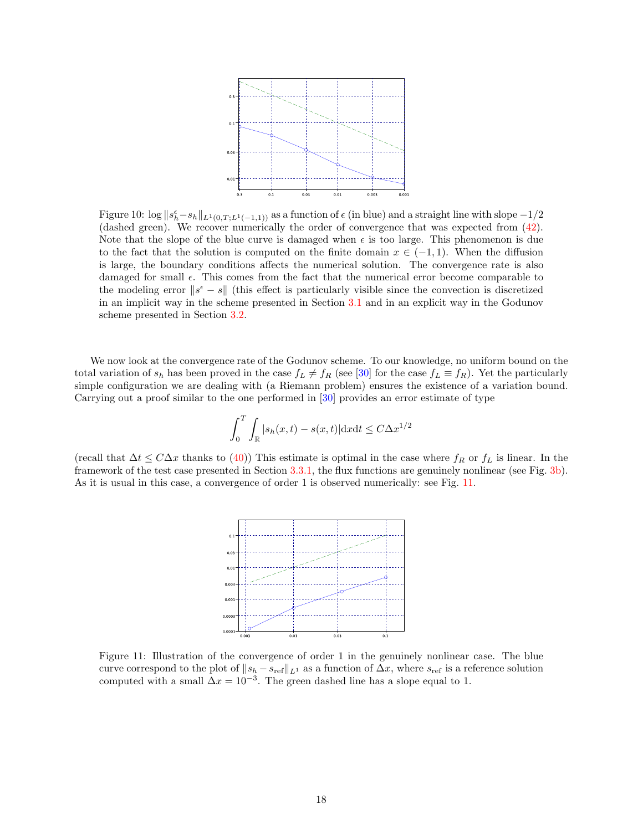<span id="page-17-0"></span>

Figure 10:  $\log \|s_h^{\epsilon} - s_h\|_{L^1(0,T;L^1(-1,1))}$  as a function of  $\epsilon$  (in blue) and a straight line with slope  $-1/2$ (dashed green). We recover numerically the order of convergence that was expected from [\(42\)](#page-16-2). Note that the slope of the blue curve is damaged when  $\epsilon$  is too large. This phenomenon is due to the fact that the solution is computed on the finite domain  $x \in (-1,1)$ . When the diffusion is large, the boundary conditions affects the numerical solution. The convergence rate is also damaged for small  $\epsilon$ . This comes from the fact that the numerical error become comparable to the modeling error  $||s^{\epsilon} - s||$  (this effect is particularly visible since the convection is discretized in an implicit way in the scheme presented in Section [3.1](#page-11-1) and in an explicit way in the Godunov scheme presented in Section [3.2.](#page-12-0)

We now look at the convergence rate of the Godunov scheme. To our knowledge, no uniform bound on the total variation of  $s_h$  has been proved in the case  $f_L \neq f_R$  (see [\[30\]](#page-22-19) for the case  $f_L \equiv f_R$ ). Yet the particularly simple configuration we are dealing with (a Riemann problem) ensures the existence of a variation bound. Carrying out a proof similar to the one performed in [\[30\]](#page-22-19) provides an error estimate of type

$$
\int_0^T \int_{\mathbb{R}} |s_h(x,t) - s(x,t)| \mathrm{d}x \mathrm{d}t \le C \Delta x^{1/2}
$$

(recall that  $\Delta t \leq C\Delta x$  thanks to [\(40\)](#page-13-2)) This estimate is optimal in the case where  $f_R$  or  $f_L$  is linear. In the framework of the test case presented in Section [3.3.1,](#page-13-1) the flux functions are genuinely nonlinear (see Fig. [3b\)](#page-13-5). As it is usual in this case, a convergence of order 1 is observed numerically: see Fig. [11.](#page-17-0)



Figure 11: Illustration of the convergence of order 1 in the genuinely nonlinear case. The blue curve correspond to the plot of  $||s_h - s_{ref}||_{L^1}$  as a function of  $\Delta x$ , where  $s_{ref}$  is a reference solution computed with a small  $\Delta x = 10^{-3}$ . The green dashed line has a slope equal to 1.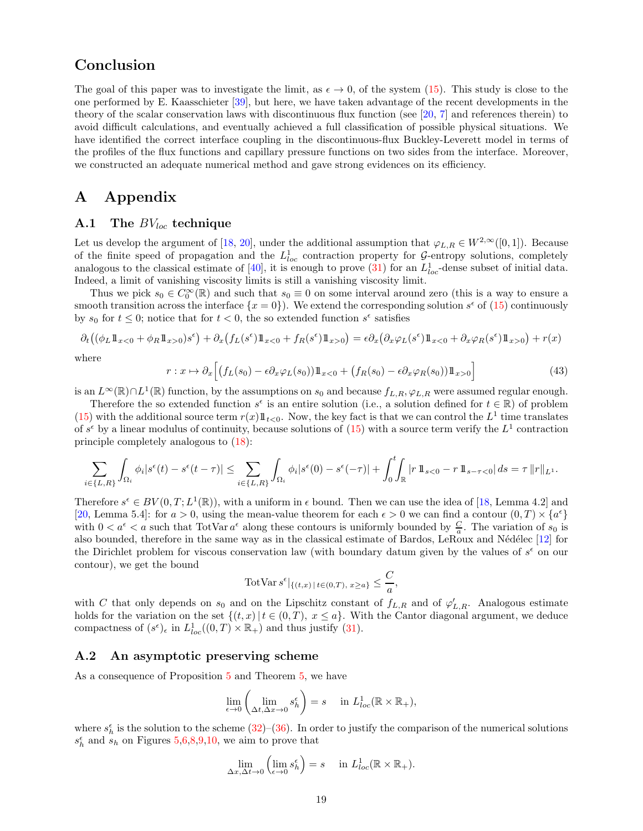# Conclusion

The goal of this paper was to investigate the limit, as  $\epsilon \to 0$ , of the system [\(15\)](#page-3-0). This study is close to the one performed by E. Kaasschieter [\[39\]](#page-23-0), but here, we have taken advantage of the recent developments in the theory of the scalar conservation laws with discontinuous flux function (see [\[20,](#page-22-4) [7\]](#page-21-3) and references therein) to avoid difficult calculations, and eventually achieved a full classification of possible physical situations. We have identified the correct interface coupling in the discontinuous-flux Buckley-Leverett model in terms of the profiles of the flux functions and capillary pressure functions on two sides from the interface. Moreover, we constructed an adequate numerical method and gave strong evidences on its efficiency.

# <span id="page-18-0"></span>A Appendix

#### <span id="page-18-1"></span>A.1 The  $BV_{loc}$  technique

Let us develop the argument of [\[18,](#page-22-18) [20\]](#page-22-4), under the additional assumption that  $\varphi_{L,R} \in W^{2,\infty}([0,1])$ . Because of the finite speed of propagation and the  $L^1_{loc}$  contraction property for G-entropy solutions, completely analogous to the classical estimate of [\[40\]](#page-23-1), it is enough to prove [\(31\)](#page-10-5) for an  $L_{loc}^1$ -dense subset of initial data. Indeed, a limit of vanishing viscosity limits is still a vanishing viscosity limit.

Thus we pick  $s_0 \in C_0^{\infty}(\mathbb{R})$  and such that  $s_0 \equiv 0$  on some interval around zero (this is a way to ensure a smooth transition across the interface  $\{x=0\}$ . We extend the corresponding solution  $s^{\epsilon}$  of  $(15)$  continuously by  $s_0$  for  $t \leq 0$ ; notice that for  $t < 0$ , the so extended function  $s^{\epsilon}$  satisfies

$$
\partial_t ((\phi_L 1\!\!1_{x<0} + \phi_R 1\!\!1_{x>0})s^{\epsilon}) + \partial_x (f_L(s^{\epsilon})1\!\!1_{x<0} + f_R(s^{\epsilon})1\!\!1_{x>0}) = \epsilon \partial_x (\partial_x \varphi_L(s^{\epsilon})1\!\!1_{x<0} + \partial_x \varphi_R(s^{\epsilon})1\!\!1_{x>0}) + r(x)
$$

where

$$
r: x \mapsto \partial_x \Big[ \big( f_L(s_0) - \epsilon \partial_x \varphi_L(s_0) \big) 1\!\!1_{x<0} + \big( f_R(s_0) - \epsilon \partial_x \varphi_R(s_0) \big) 1\!\!1_{x>0} \Big] \tag{43}
$$

is an  $L^{\infty}(\mathbb{R}) \cap L^{1}(\mathbb{R})$  function, by the assumptions on  $s_0$  and because  $f_{L,R}, \varphi_{L,R}$  were assumed regular enough.

Therefore the so extended function  $s^{\epsilon}$  is an entire solution (i.e., a solution defined for  $t \in \mathbb{R}$ ) of problem [\(15\)](#page-3-0) with the additional source term  $r(x) 1\!\!1_{t<0}$ . Now, the key fact is that we can control the  $L^1$  time translates of  $s^{\epsilon}$  by a linear modulus of continuity, because solutions of  $(15)$  with a source term verify the  $L^{1}$  contraction principle completely analogous to [\(18\)](#page-5-0):

$$
\sum_{i\in\{L,R\}} \int_{\Omega_i} \phi_i |s^{\epsilon}(t) - s^{\epsilon}(t-\tau)| \leq \sum_{i\in\{L,R\}} \int_{\Omega_i} \phi_i |s^{\epsilon}(0) - s^{\epsilon}(-\tau)| + \int_0^t \int_{\mathbb{R}} |r| \mathbb{1}_{s<0} - r \mathbb{1}_{s-\tau<0} | ds = \tau \|r\|_{L^1}.
$$

Therefore  $s^{\epsilon} \in BV(0,T; L^{1}(\mathbb{R}))$ , with a uniform in  $\epsilon$  bound. Then we can use the idea of [\[18,](#page-22-18) Lemma 4.2] and [\[20,](#page-22-4) Lemma 5.4]: for  $a > 0$ , using the mean-value theorem for each  $\epsilon > 0$  we can find a contour  $(0, T) \times \{a^{\epsilon}\}\$ with  $0 < a^{\epsilon} < a$  such that TotVar  $a^{\epsilon}$  along these contours is uniformly bounded by  $\frac{C}{a}$ . The variation of  $s_0$  is also bounded, therefore in the same way as in the classical estimate of Bardos, LeRoux and Nédélec [\[12\]](#page-21-16) for the Dirichlet problem for viscous conservation law (with boundary datum given by the values of  $s^{\epsilon}$  on our contour), we get the bound

$$
TotVar s^{\epsilon}|_{\{(t,x) \, | \, t \in (0,T), \, x \ge a\}} \le \frac{C}{a},
$$

with C that only depends on  $s_0$  and on the Lipschitz constant of  $f_{L,R}$  and of  $\varphi'_{L,R}$ . Analogous estimate holds for the variation on the set  $\{(t, x) | t \in (0, T), x \leq a\}$ . With the Cantor diagonal argument, we deduce compactness of  $(s^{\epsilon})_{\epsilon}$  in  $L_{loc}^{1}((0,T)\times\mathbb{R}_{+})$  and thus justify [\(31\)](#page-10-5).

### <span id="page-18-2"></span>A.2 An asymptotic preserving scheme

As a consequence of Proposition [5](#page-12-7) and Theorem [5,](#page-10-1) we have

$$
\lim_{\epsilon \to 0} \left( \lim_{\Delta t, \Delta x \to 0} s_h^{\epsilon} \right) = s \quad \text{ in } L^1_{loc}(\mathbb{R} \times \mathbb{R}_+),
$$

where  $s_h^{\epsilon}$  is the solution to the scheme [\(32\)](#page-11-3)–[\(36\)](#page-12-1). In order to justify the comparison of the numerical solutions  $s_h^{\epsilon}$  and  $s_h$  on Figures [5,](#page-14-2)[6](#page-15-2)[,8](#page-15-5)[,9,](#page-16-3)[10,](#page-16-1) we aim to prove that

$$
\lim_{\Delta x,\Delta t\to 0} \left( \lim_{\epsilon \to 0} s_h^{\epsilon} \right) = s \quad \text{ in } L^1_{loc}(\mathbb{R} \times \mathbb{R}_+).
$$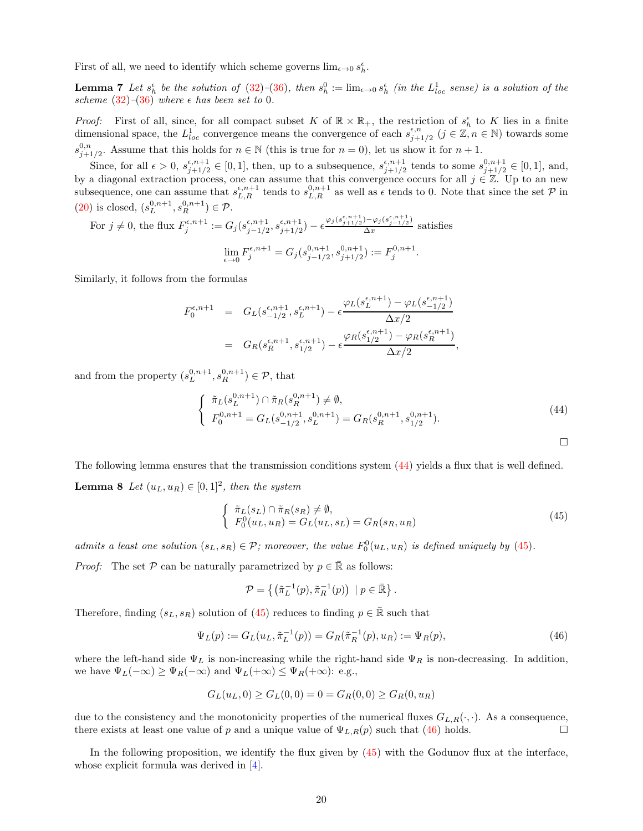First of all, we need to identify which scheme governs  $\lim_{\epsilon \to 0} s_h^\epsilon$ .

**Lemma 7** Let  $s_h^{\epsilon}$  be the solution of [\(32\)](#page-11-3)–[\(36\)](#page-12-1), then  $s_h^0 := \lim_{\epsilon \to 0} s_h^{\epsilon}$  (in the  $L_{loc}^1$  sense) is a solution of the scheme [\(32\)](#page-11-3)–[\(36\)](#page-12-1) where  $\epsilon$  has been set to 0.

*Proof:* First of all, since, for all compact subset K of  $\mathbb{R} \times \mathbb{R}_+$ , the restriction of  $s_h^{\epsilon}$  to K lies in a finite dimensional space, the  $L_{loc}^1$  convergence means the convergence of each  $s_{j+}^{\epsilon,n}$  $j+1/2 \ (j \in \mathbb{Z}, n \in \mathbb{N})$  towards some  $s_{i\pm}^{0,n}$  $_{j+1/2}^{0,n}$ . Assume that this holds for  $n \in \mathbb{N}$  (this is true for  $n = 0$ ), let us show it for  $n + 1$ .

Since, for all  $\epsilon > 0$ ,  $s_{i+1/2}^{\epsilon, n+1}$  $\epsilon^{n+1}_{j+1/2} \in [0,1]$ , then, up to a subsequence,  $s^{i,n+1}_{j+1/2}$  $s_{j+1/2}^{e,n+1}$  tends to some  $s_{j+1/2}^{0,n+1}$  $_{j+1/2}^{\sigma,n+1} \in [0,1], \text{ and,}$ by a diagonal extraction process, one can assume that this convergence occurs for all  $j \in \mathbb{Z}$ . Up to an new subsequence, one can assume that  $s_{L,R}^{\epsilon,n+1}$  tends to  $s_{L,R}^{0,n+1}$  as well as  $\epsilon$  tends to 0. Note that since the set  $\mathcal P$  in [\(20\)](#page-6-2) is closed,  $(s_L^{0,n+1}, s_R^{0,n+1}) \in \mathcal{P}$ .

For  $j \neq 0$ , the flux  $F_j^{\epsilon,n+1} := G_j(s_{j-1/2}^{\epsilon,n+1})$  $\frac{\epsilon, n+1}{j-1/2}, s_{j+1/2}^{\epsilon, n+1}$  $\frac{\epsilon, n+1}{j+1/2}$ ) –  $\epsilon \frac{\varphi_j(s_{j+1/2}^{\epsilon, n+1}) - \varphi_j(s_{j-1/2}^{\epsilon, n+1})}{\Delta x}$  $\frac{\sqrt{y}\sqrt{y}-1/2}{\Delta x}$  satisfies  $\lim_{\epsilon \to 0} F_j^{\epsilon, n+1} = G_j (s_{j-1/2}^{0, n+1})$  $\frac{0, n+1}{j-1/2}, s^{0,n+1}_{j+1/2}$  $j+1/2$ ) :=  $F_j^{0,n+1}$ .

Similarly, it follows from the formulas

$$
F_0^{\epsilon, n+1} = G_L(s_{-1/2}^{\epsilon, n+1}, s_L^{\epsilon, n+1}) - \epsilon \frac{\varphi_L(s_L^{\epsilon, n+1}) - \varphi_L(s_{-1/2}^{\epsilon, n+1})}{\Delta x/2}
$$
  
= 
$$
G_R(s_R^{\epsilon, n+1}, s_{1/2}^{\epsilon, n+1}) - \epsilon \frac{\varphi_R(s_{1/2}^{\epsilon, n+1}) - \varphi_R(s_R^{\epsilon, n+1})}{\Delta x/2},
$$

and from the property  $(s_L^{0,n+1}, s_R^{0,n+1}) \in \mathcal{P}$ , that

<span id="page-19-0"></span>
$$
\begin{cases} \tilde{\pi}_L(s_L^{0,n+1}) \cap \tilde{\pi}_R(s_R^{0,n+1}) \neq \emptyset, \\ F_0^{0,n+1} = G_L(s_{-1/2}^{0,n+1}, s_L^{0,n+1}) = G_R(s_R^{0,n+1}, s_{1/2}^{0,n+1}). \end{cases}
$$
(44)

 $\Box$ 

The following lemma ensures that the transmission conditions system [\(44\)](#page-19-0) yields a flux that is well defined. **Lemma 8** Let  $(u_L, u_R) \in [0, 1]^2$ , then the system

<span id="page-19-1"></span>
$$
\begin{cases} \n\tilde{\pi}_L(s_L) \cap \tilde{\pi}_R(s_R) \neq \emptyset, \\
F_0^0(u_L, u_R) = G_L(u_L, s_L) = G_R(s_R, u_R) \n\end{cases} \n\tag{45}
$$

admits a least one solution  $(s_L, s_R) \in \mathcal{P}$ ; moreover, the value  $F_0^0(u_L, u_R)$  is defined uniquely by [\(45\)](#page-19-1).

*Proof:* The set P can be naturally parametrized by  $p \in \mathbb{R}$  as follows:

$$
\mathcal{P} = \left\{ \left( \tilde{\pi}_L^{-1}(p), \tilde{\pi}_R^{-1}(p) \right) \mid p \in \mathbb{\bar{R}} \right\}.
$$

Therefore, finding  $(s_L, s_R)$  solution of [\(45\)](#page-19-1) reduces to finding  $p \in \mathbb{R}$  such that

<span id="page-19-2"></span>
$$
\Psi_L(p) := G_L(u_L, \tilde{\pi}_L^{-1}(p)) = G_R(\tilde{\pi}_R^{-1}(p), u_R) := \Psi_R(p), \tag{46}
$$

where the left-hand side  $\Psi_L$  is non-increasing while the right-hand side  $\Psi_R$  is non-decreasing. In addition, we have  $\Psi_L(-\infty) \ge \Psi_R(-\infty)$  and  $\Psi_L(+\infty) \le \Psi_R(+\infty)$ : e.g.,

$$
G_L(u_L, 0) \ge G_L(0, 0) = 0 = G_R(0, 0) \ge G_R(0, u_R)
$$

due to the consistency and the monotonicity properties of the numerical fluxes  $G_{L,R}(\cdot, \cdot)$ . As a consequence, there exists at least one value of p and a unique value of  $\Psi_{L,R}(p)$  such that [\(46\)](#page-19-2) holds.

In the following proposition, we identify the flux given by  $(45)$  with the Godunov flux at the interface, whose explicit formula was derived in [\[4\]](#page-21-4).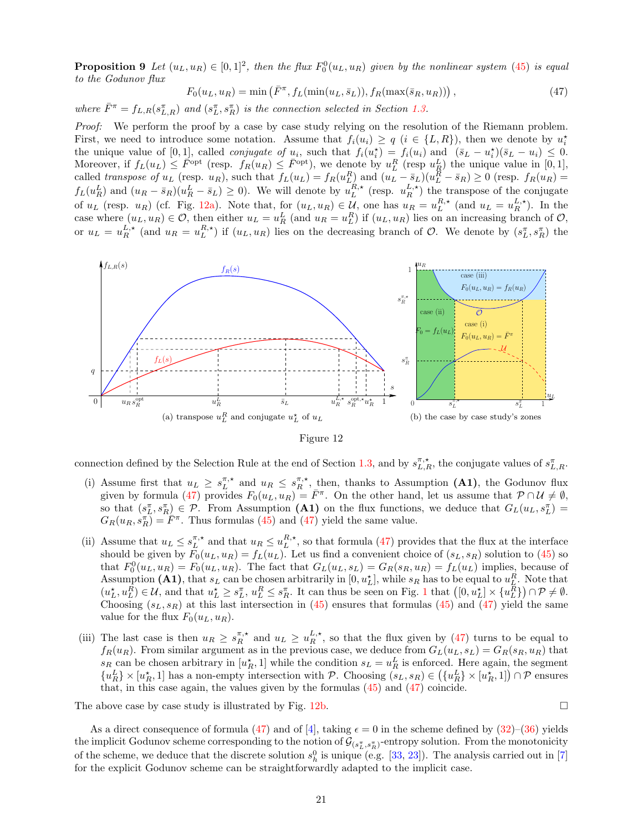**Proposition 9** Let  $(u_L, u_R) \in [0, 1]^2$ , then the flux  $F_0^0(u_L, u_R)$  given by the nonlinear system [\(45\)](#page-19-1) is equal to the Godunov flux

<span id="page-20-1"></span>
$$
F_0(u_L, u_R) = \min\left(\bar{F}^\pi, f_L(\min(u_L, \bar{s}_L)), f_R(\max(\bar{s}_R, u_R))\right),\tag{47}
$$

where  $\bar{F}^{\pi} = f_{L,R}(s_{L,R}^{\pi})$  and  $(s_L^{\pi}, s_R^{\pi})$  is the connection selected in Section [1.3.](#page-6-0)

Proof: We perform the proof by a case by case study relying on the resolution of the Riemann problem. First, we need to introduce some notation. Assume that  $f_i(u_i) \ge q$   $(i \in \{L, R\})$ , then we denote by  $u_i^*$ the unique value of [0,1], called *conjugate of*  $u_i$ , such that  $f_i(u_i^*) = f_i(u_i)$  and  $(\bar{s}_L - u_i^*)(\bar{s}_L - u_i) \leq 0$ . the unique value of  $[0, 1]$ , called *conjugue of u<sub>i</sub>*, such that  $f_i(u_i) = f_i(u_i)$  and  $(S_L - u_i)(S_L - u_i) \leq 0$ .<br>Moreover, if  $f_L(u_L) \leq \overline{F}^{opt}$  (resp.  $f_R(u_R) \leq \overline{F}^{opt}$ ), we denote by  $u_L^R$  (resp  $u_R^L$ ) the unique value in called transpose of  $u_L$  (resp.  $u_R$ ), such that  $f_L(u_L) = f_R(u_L^R)$  and  $(u_L - \bar{s}_L)(u_L^R - \bar{s}_R) \ge 0$  (resp.  $f_R(u_R) =$  $f_L(u_R^L)$  and  $(u_R - \bar{s}_R)(u_R^L - \bar{s}_L) \ge 0$ ). We will denote by  $u_L^{R,\star}$  (resp.  $u_R^{L,\star}$ ) the transpose of the conjugate of  $u_L$  (resp.  $u_R$ ) (cf. Fig. [12a\)](#page-20-0). Note that, for  $(u_L, u_R) \in \mathcal{U}$ , one has  $u_R = u_L^{R,\star}$  (and  $u_L = u_R^{L,\star}$ ). In the case where  $(u_L, u_R) \in \mathcal{O}$ , then either  $u_L = u_R^L$  (and  $u_R = u_L^R$ ) if  $(u_L, u_R)$  lies on an increasing branch of  $\mathcal{O}$ , or  $u_L = u_R^{L, \star}$  (and  $u_R = u_L^{R, \star}$ ) if  $(u_L, u_R)$  lies on the decreasing branch of  $\mathcal{O}$ . We denote by  $(s_L^{\pi}, s_R^{\pi})$  the

<span id="page-20-0"></span>

<span id="page-20-2"></span>

connection defined by the Selection Rule at the end of Section [1.3,](#page-6-0) and by  $s_{L,R}^{\pi,*}$ , the conjugate values of  $s_{L,R}^{\pi}$ .

- (i) Assume first that  $u_L \geq s_L^{\pi,*}$  and  $u_R \leq s_R^{\pi,*}$ , then, thanks to Assumption (A1), the Godunov flux given by formula [\(47\)](#page-20-1) provides  $F_0(u_L, u_R) = \overline{F}^{\pi}$ . On the other hand, let us assume that  $\mathcal{P} \cap \mathcal{U} \neq \emptyset$ , so that  $(s_L^{\pi}, s_R^{\pi}) \in \mathcal{P}$ . From Assumption (A1) on the flux functions, we deduce that  $G_L(u_L, s_L^{\pi}) =$  $G_R(u_R, s_R^{\pi}) = \overline{F}^{\pi}$ . Thus formulas [\(45\)](#page-19-1) and [\(47\)](#page-20-1) yield the same value.
- (ii) Assume that  $u_L \leq s_L^{\pi,*}$  and that  $u_R \leq u_L^{R,*}$ , so that formula [\(47\)](#page-20-1) provides that the flux at the interface should be given by  $F_0(u_L, u_R) = f_L(u_L)$ . Let us find a convenient choice of  $(s_L, s_R)$  solution to [\(45\)](#page-19-1) so that  $F_0^0(u_L, u_R) = F_0(u_L, u_R)$ . The fact that  $G_L(u_L, s_L) = G_R(s_R, u_R) = f_L(u_L)$  implies, because of Assumption (A1), that  $s_L$  can be chosen arbitrarily in  $[0, u_L^*]$ , while  $s_R$  has to be equal to  $u_L^R$ . Note that  $(u_L^{\star}, u_L^{\overline{R}}) \in \mathcal{U}$ , and that  $u_L^{\star} \geq s_L^{\pi}$ ,  $u_L^R \leq s_R^{\pi}$ . It can thus be seen on Fig. 1 that  $([0, u_L^{\star}] \times \{u_L^{\overline{R}}\}) \cap \mathcal{P} \neq \emptyset$ . Choosing  $(s_L, s_R)$  at this last intersection in [\(45\)](#page-19-1) ensures that formulas (45) and [\(47\)](#page-20-1) yield the same value for the flux  $F_0(u_L, u_R)$ .
- (iii) The last case is then  $u_R \geq s_R^{\pi,*}$  and  $u_L \geq u_R^{L,*}$ , so that the flux given by [\(47\)](#page-20-1) turns to be equal to  $f_R(u_R)$ . From similar argument as in the previous case, we deduce from  $G_L(u_L, s_L) = G_R(s_R, u_R)$  that  $s_R$  can be chosen arbitrary in  $[u_R^*, 1]$  while the condition  $s_L = u_R^L$  is enforced. Here again, the segment  ${u_R^L} \times [u_R^*, 1]$  has a non-empty intersection with P. Choosing  $(s_L, s_R) \in (\{u_R^L\} \times [u_R^*, 1]) \cap \mathcal{P}$  ensures that, in this case again, the values given by the formulas [\(45\)](#page-19-1) and [\(47\)](#page-20-1) coincide.

The above case by case study is illustrated by Fig. [12b.](#page-20-2)

$$
\qquad \qquad \Box
$$

As a direct consequence of formula [\(47\)](#page-20-1) and of [\[4\]](#page-21-4), taking  $\epsilon = 0$  in the scheme defined by [\(32\)](#page-11-3)–[\(36\)](#page-12-1) yields the implicit Godunov scheme corresponding to the notion of  $\mathcal{G}_{(s_L^\pi,s_R^\pi)}$ -entropy solution. From the monotonicity of the scheme, we deduce that the discrete solution  $s_h^0$  is unique (e.g. [\[33,](#page-22-20) [23\]](#page-22-7)). The analysis carried out in [\[7\]](#page-21-3) for the explicit Godunov scheme can be straightforwardly adapted to the implicit case.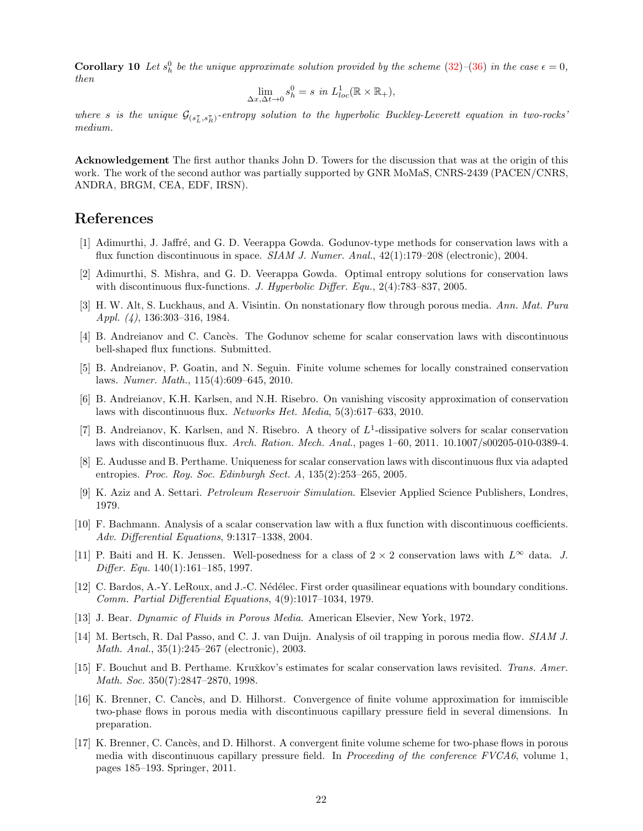**Corollary 10** Let  $s_h^0$  be the unique approximate solution provided by the scheme [\(32\)](#page-11-3)–[\(36\)](#page-12-1) in the case  $\epsilon = 0$ , then

$$
\lim_{\Delta x,\Delta t \to 0} s_h^0 = s \text{ in } L_{loc}^1(\mathbb{R} \times \mathbb{R}_+),
$$

where s is the unique  $\mathcal{G}_{(s_L^{\pi}, s_R^{\pi})}$ -entropy solution to the hyperbolic Buckley-Leverett equation in two-rocks' medium.

Acknowledgement The first author thanks John D. Towers for the discussion that was at the origin of this work. The work of the second author was partially supported by GNR MoMaS, CNRS-2439 (PACEN/CNRS, ANDRA, BRGM, CEA, EDF, IRSN).

### <span id="page-21-1"></span>References

- <span id="page-21-2"></span>[1] Adimurthi, J. Jaffré, and G. D. Veerappa Gowda. Godunov-type methods for conservation laws with a flux function discontinuous in space. SIAM J. Numer. Anal., 42(1):179–208 (electronic), 2004.
- <span id="page-21-6"></span>[2] Adimurthi, S. Mishra, and G. D. Veerappa Gowda. Optimal entropy solutions for conservation laws with discontinuous flux-functions. J. Hyperbolic Differ. Equ.,  $2(4)$ :783–837, 2005.
- <span id="page-21-4"></span>[3] H. W. Alt, S. Luckhaus, and A. Visintin. On nonstationary flow through porous media. Ann. Mat. Pura Appl. (4), 136:303–316, 1984.
- <span id="page-21-10"></span>[4] B. Andreianov and C. Cancès. The Godunov scheme for scalar conservation laws with discontinuous bell-shaped flux functions. Submitted.
- <span id="page-21-9"></span>[5] B. Andreianov, P. Goatin, and N. Seguin. Finite volume schemes for locally constrained conservation laws. Numer. Math., 115(4):609–645, 2010.
- <span id="page-21-3"></span>[6] B. Andreianov, K.H. Karlsen, and N.H. Risebro. On vanishing viscosity approximation of conservation laws with discontinuous flux. Networks Het. Media, 5(3):617–633, 2010.
- [7] B. Andreianov, K. Karlsen, and N. Risebro. A theory of  $L^1$ -dissipative solvers for scalar conservation laws with discontinuous flux. Arch. Ration. Mech. Anal., pages 1–60, 2011. 10.1007/s00205-010-0389-4.
- <span id="page-21-14"></span><span id="page-21-12"></span>[8] E. Audusse and B. Perthame. Uniqueness for scalar conservation laws with discontinuous flux via adapted entropies. Proc. Roy. Soc. Edinburgh Sect. A, 135(2):253–265, 2005.
- <span id="page-21-15"></span>[9] K. Aziz and A. Settari. Petroleum Reservoir Simulation. Elsevier Applied Science Publishers, Londres, 1979.
- <span id="page-21-13"></span>[10] F. Bachmann. Analysis of a scalar conservation law with a flux function with discontinuous coefficients. Adv. Differential Equations, 9:1317–1338, 2004.
- [11] P. Baiti and H. K. Jenssen. Well-posedness for a class of  $2 \times 2$  conservation laws with  $L^{\infty}$  data. J. Differ. Equ. 140(1):161–185, 1997.
- <span id="page-21-16"></span>[12] C. Bardos, A.-Y. LeRoux, and J.-C. Nédélec. First order quasilinear equations with boundary conditions. Comm. Partial Differential Equations, 4(9):1017–1034, 1979.
- <span id="page-21-11"></span><span id="page-21-5"></span>[13] J. Bear. Dynamic of Fluids in Porous Media. American Elsevier, New York, 1972.
- [14] M. Bertsch, R. Dal Passo, and C. J. van Duijn. Analysis of oil trapping in porous media flow. SIAM J. Math. Anal., 35(1):245–267 (electronic), 2003.
- <span id="page-21-0"></span>[15] F. Bouchut and B. Perthame. Kru $\check{x}$ kov's estimates for scalar conservation laws revisited. Trans. Amer. Math. Soc. 350(7):2847–2870, 1998.
- <span id="page-21-8"></span>[16] K. Brenner, C. Cancès, and D. Hilhorst. Convergence of finite volume approximation for immiscible two-phase flows in porous media with discontinuous capillary pressure field in several dimensions. In preparation.
- <span id="page-21-7"></span>[17] K. Brenner, C. Cancès, and D. Hilhorst. A convergent finite volume scheme for two-phase flows in porous media with discontinuous capillary pressure field. In Proceeding of the conference  $FVCA6$ , volume 1, pages 185–193. Springer, 2011.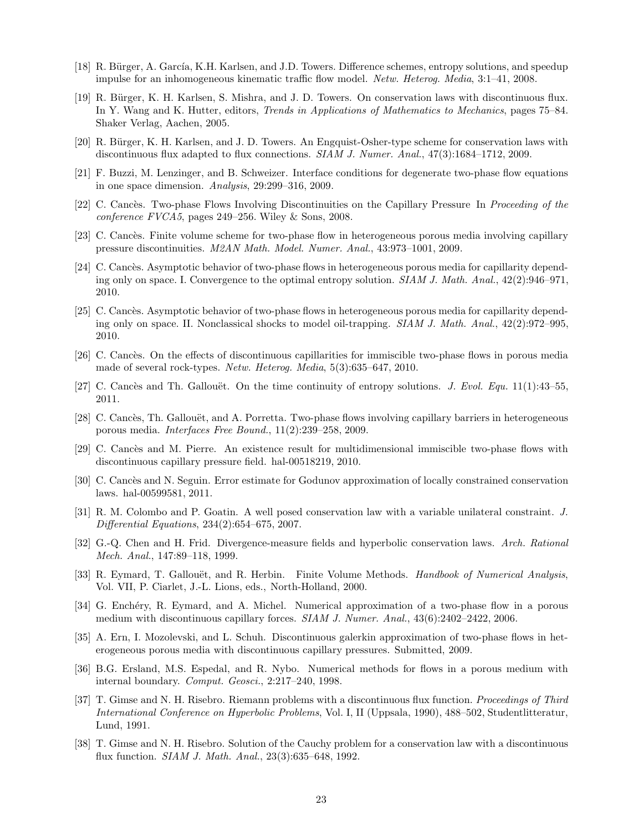- <span id="page-22-18"></span><span id="page-22-3"></span>[18] R. Bürger, A. García, K.H. Karlsen, and J.D. Towers. Difference schemes, entropy solutions, and speedup impulse for an inhomogeneous kinematic traffic flow model. Netw. Heterog. Media, 3:1–41, 2008.
- [19] R. Bürger, K. H. Karlsen, S. Mishra, and J. D. Towers. On conservation laws with discontinuous flux. In Y. Wang and K. Hutter, editors, *Trends in Applications of Mathematics to Mechanics*, pages 75–84. Shaker Verlag, Aachen, 2005.
- <span id="page-22-10"></span><span id="page-22-4"></span>[20] R. Bürger, K. H. Karlsen, and J. D. Towers. An Engquist-Osher-type scheme for conservation laws with discontinuous flux adapted to flux connections. SIAM J. Numer. Anal., 47(3):1684–1712, 2009.
- <span id="page-22-11"></span>[21] F. Buzzi, M. Lenzinger, and B. Schweizer. Interface conditions for degenerate two-phase flow equations in one space dimension. Analysis, 29:299–316, 2009.
- <span id="page-22-7"></span>[22] C. Cancès. Two-phase Flows Involving Discontinuities on the Capillary Pressure In Proceeding of the conference FVCA5, pages 249–256. Wiley & Sons, 2008.
- <span id="page-22-5"></span>[23] C. Cancès. Finite volume scheme for two-phase flow in heterogeneous porous media involving capillary pressure discontinuities. M2AN Math. Model. Numer. Anal., 43:973–1001, 2009.
- [24] C. Cancès. Asymptotic behavior of two-phase flows in heterogeneous porous media for capillarity depending only on space. I. Convergence to the optimal entropy solution. SIAM J. Math. Anal., 42(2):946–971, 2010.
- <span id="page-22-6"></span>[25] C. Cancès. Asymptotic behavior of two-phase flows in heterogeneous porous media for capillarity depending only on space. II. Nonclassical shocks to model oil-trapping. SIAM J. Math. Anal., 42(2):972–995, 2010.
- <span id="page-22-16"></span><span id="page-22-0"></span>[26] C. Canc`es. On the effects of discontinuous capillarities for immiscible two-phase flows in porous media made of several rock-types. Netw. Heterog. Media, 5(3):635–647, 2010.
- <span id="page-22-8"></span>[27] C. Cancès and Th. Gallouët. On the time continuity of entropy solutions. J. Evol. Equ. 11(1):43–55, 2011.
- <span id="page-22-9"></span>[28] C. Cancès, Th. Gallouët, and A. Porretta. Two-phase flows involving capillary barriers in heterogeneous porous media. Interfaces Free Bound., 11(2):239–258, 2009.
- <span id="page-22-19"></span>[29] C. Cancès and M. Pierre. An existence result for multidimensional immiscible two-phase flows with discontinuous capillary pressure field. hal-00518219, 2010.
- <span id="page-22-17"></span>[30] C. Cancès and N. Seguin. Error estimate for Godunov approximation of locally constrained conservation laws. hal-00599581, 2011.
- <span id="page-22-15"></span>[31] R. M. Colombo and P. Goatin. A well posed conservation law with a variable unilateral constraint. J. Differential Equations, 234(2):654–675, 2007.
- [32] G.-Q. Chen and H. Frid. Divergence-measure fields and hyperbolic conservation laws. Arch. Rational Mech. Anal., 147:89–118, 1999.
- <span id="page-22-20"></span>[33] R. Eymard, T. Gallouët, and R. Herbin. Finite Volume Methods. Handbook of Numerical Analysis, Vol. VII, P. Ciarlet, J.-L. Lions, eds., North-Holland, 2000.
- <span id="page-22-14"></span>[34] G. Enchéry, R. Eymard, and A. Michel. Numerical approximation of a two-phase flow in a porous medium with discontinuous capillary forces. SIAM J. Numer. Anal.,  $43(6)$ :2402–2422, 2006.
- <span id="page-22-13"></span>[35] A. Ern, I. Mozolevski, and L. Schuh. Discontinuous galerkin approximation of two-phase flows in heterogeneous porous media with discontinuous capillary pressures. Submitted, 2009.
- <span id="page-22-12"></span>[36] B.G. Ersland, M.S. Espedal, and R. Nybo. Numerical methods for flows in a porous medium with internal boundary. Comput. Geosci., 2:217–240, 1998.
- <span id="page-22-1"></span>[37] T. Gimse and N. H. Risebro. Riemann problems with a discontinuous flux function. Proceedings of Third International Conference on Hyperbolic Problems, Vol. I, II (Uppsala, 1990), 488–502, Studentlitteratur, Lund, 1991.
- <span id="page-22-2"></span>[38] T. Gimse and N. H. Risebro. Solution of the Cauchy problem for a conservation law with a discontinuous flux function. SIAM J. Math. Anal., 23(3):635–648, 1992.